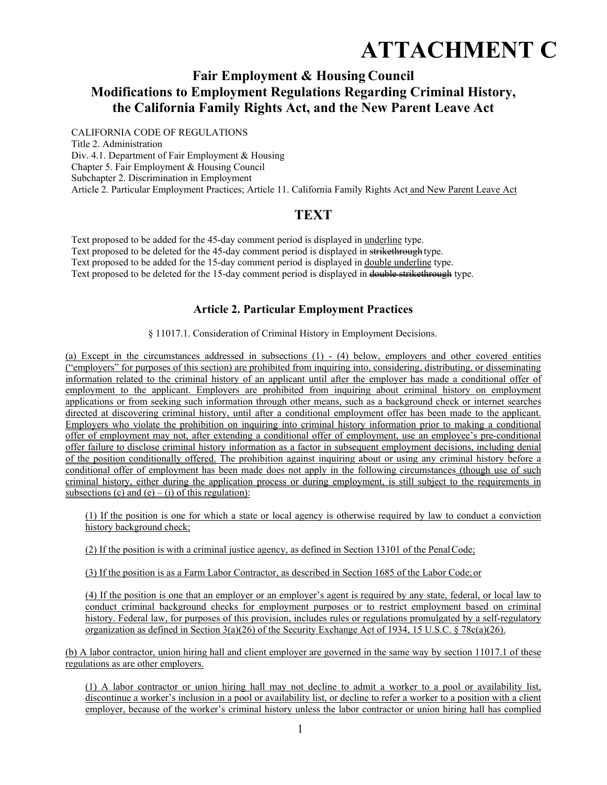# **ATTACHMENT C**

# **Fair Employment & Housing Council Modifications to Employment Regulations Regarding Criminal History, the California Family Rights Act, and the New Parent Leave Act**

CALIFORNIA CODE OF REGULATIONS Title 2. Administration Div. 4.1. Department of Fair Employment & Housing Chapter 5. Fair Employment & Housing Council Subchapter 2. Discrimination in Employment Article 2. Particular Employment Practices; Article 11. California Family Rights Act and New Parent Leave Act

# **TEXT**

Text proposed to be added for the 45-day comment period is displayed in underline type. Text proposed to be deleted for the 45-day comment period is displayed in strikethrough type. Text proposed to be added for the 15-day comment period is displayed in double underline type. Text proposed to be deleted for the 15-day comment period is displayed in double strikethrough type.

## **Article 2. Particular Employment Practices**

§ 11017.1. Consideration of Criminal History in Employment Decisions.

(a) Except in the circumstances addressed in subsections (1) - (4) below, employers and other covered entities ("employers" for purposes of this section) are prohibited from inquiring into, considering, distributing, or disseminating information related to the criminal history of an applicant until after the employer has made a conditional offer of employment to the applicant. Employers are prohibited from inquiring about criminal history on employment applications or from seeking such information through other means, such as a background check or internet searches directed at discovering criminal history, until after a conditional employment offer has been made to the applicant. Employers who violate the prohibition on inquiring into criminal history information prior to making a conditional offer of employment may not, after extending a conditional offer of employment, use an employee's pre-conditional offer failure to disclose criminal history information as a factor in subsequent employment decisions, including denial of the position conditionally offered. The prohibition against inquiring about or using any criminal history before a conditional offer of employment has been made does not apply in the following circumstances (though use of such criminal history, either during the application process or during employment, is still subject to the requirements in subsections (c) and (e) – (i) of this regulation):

(1) If the position is one for which a state or local agency is otherwise required by law to conduct a conviction history background check;

(2) If the position is with a criminal justice agency, as defined in Section 13101 of the Penal Code;

(3) If the position is as a Farm Labor Contractor, as described in Section 1685 of the Labor Code; or

(4) If the position is one that an employer or an employer's agent is required by any state, federal, or local law to conduct criminal background checks for employment purposes or to restrict employment based on criminal history. Federal law, for purposes of this provision, includes rules or regulations promulgated by a self-regulatory organization as defined in Section  $3(a)(26)$  of the Security Exchange Act of 1934, 15 U.S.C. § 78c(a)(26).

(b) A labor contractor, union hiring hall and client employer are governed in the same way by section 11017.1 of these regulations as are other employers.

(1) A labor contractor or union hiring hall may not decline to admit a worker to a pool or availability list, discontinue a worker's inclusion in a pool or availability list, or decline to refer a worker to a position with a client employer, because of the worker's criminal history unless the labor contractor or union hiring hall has complied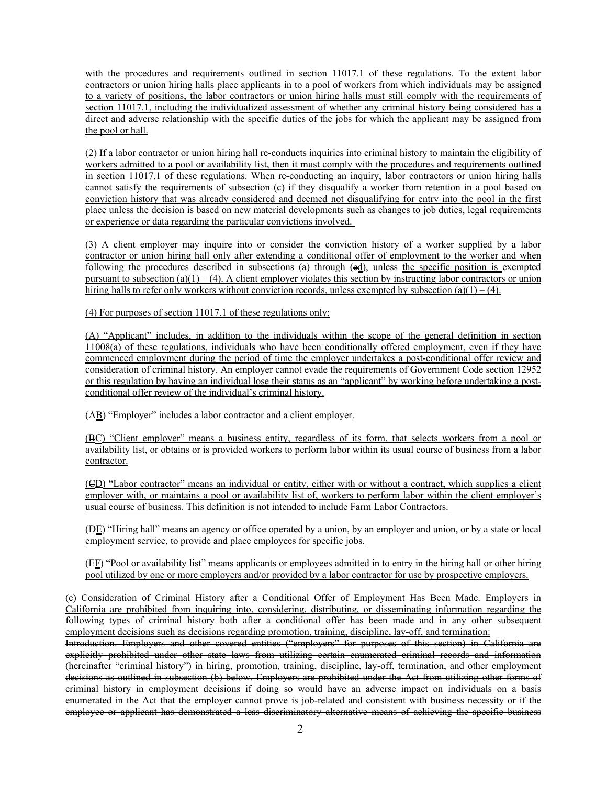with the procedures and requirements outlined in section 11017.1 of these regulations. To the extent labor contractors or union hiring halls place applicants in to a pool of workers from which individuals may be assigned to a variety of positions, the labor contractors or union hiring halls must still comply with the requirements of section 11017.1, including the individualized assessment of whether any criminal history being considered has a direct and adverse relationship with the specific duties of the jobs for which the applicant may be assigned from the pool or hall.

(2) If a labor contractor or union hiring hall re-conducts inquiries into criminal history to maintain the eligibility of workers admitted to a pool or availability list, then it must comply with the procedures and requirements outlined in section 11017.1 of these regulations. When re-conducting an inquiry, labor contractors or union hiring halls cannot satisfy the requirements of subsection (c) if they disqualify a worker from retention in a pool based on conviction history that was already considered and deemed not disqualifying for entry into the pool in the first place unless the decision is based on new material developments such as changes to job duties, legal requirements or experience or data regarding the particular convictions involved.

(3) A client employer may inquire into or consider the conviction history of a worker supplied by a labor contractor or union hiring hall only after extending a conditional offer of employment to the worker and when following the procedures described in subsections (a) through (ed), unless the specific position is exempted pursuant to subsection (a)(1) – (4). A client employer violates this section by instructing labor contractors or union hiring halls to refer only workers without conviction records, unless exempted by subsection (a)(1) – (4).

(4) For purposes of section 11017.1 of these regulations only:

(A) "Applicant" includes, in addition to the individuals within the scope of the general definition in section 11008(a) of these regulations, individuals who have been conditionally offered employment, even if they have commenced employment during the period of time the employer undertakes a post-conditional offer review and consideration of criminal history. An employer cannot evade the requirements of Government Code section 12952 or this regulation by having an individual lose their status as an "applicant" by working before undertaking a postconditional offer review of the individual's criminal history.

(AB) "Employer" includes a labor contractor and a client employer.

(BC) "Client employer" means a business entity, regardless of its form, that selects workers from a pool or availability list, or obtains or is provided workers to perform labor within its usual course of business from a labor contractor.

(CD) "Labor contractor" means an individual or entity, either with or without a contract, which supplies a client employer with, or maintains a pool or availability list of, workers to perform labor within the client employer's usual course of business. This definition is not intended to include Farm Labor Contractors.

(DE) "Hiring hall" means an agency or office operated by a union, by an employer and union, or by a state or local employment service, to provide and place employees for specific jobs.

(EE) "Pool or availability list" means applicants or employees admitted in to entry in the hiring hall or other hiring pool utilized by one or more employers and/or provided by a labor contractor for use by prospective employers.

(c) Consideration of Criminal History after a Conditional Offer of Employment Has Been Made. Employers in California are prohibited from inquiring into, considering, distributing, or disseminating information regarding the following types of criminal history both after a conditional offer has been made and in any other subsequent employment decisions such as decisions regarding promotion, training, discipline, lay-off, and termination:

Introduction. Employers and other covered entities ("employers" for purposes of this section) in California are explicitly prohibited under other state laws from utilizing certain enumerated criminal records and information (hereinafter "criminal history") in hiring, promotion, training, discipline, lay-off, termination, and other employment decisions as outlined in subsection (b) below. Employers are prohibited under the Act from utilizing other forms of criminal history in employment decisions if doing so would have an adverse impact on individuals on a basis enumerated in the Act that the employer cannot prove is job-related and consistent with business necessity or if the employee or applicant has demonstrated a less discriminatory alternative means of achieving the specific business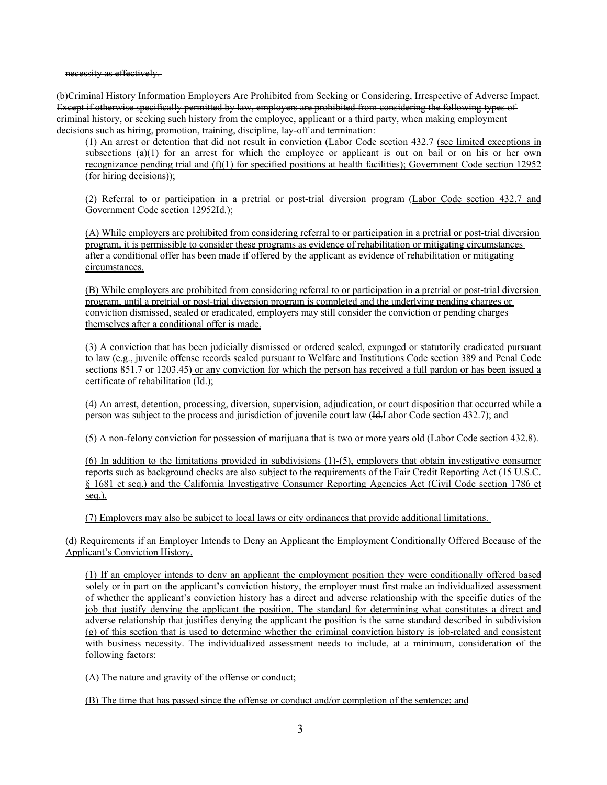necessity as effectively.

(b)Criminal History Information Employers Are Prohibited from Seeking or Considering, Irrespective of Adverse Impact. Except if otherwise specifically permitted by law, employers are prohibited from considering the following types of criminal history, or seeking such history from the employee, applicant or a third party, when making employment decisions such as hiring, promotion, training, discipline, lay-off and termination:

(1) An arrest or detention that did not result in conviction (Labor Code section 432.7 (see limited exceptions in subsections (a)(1) for an arrest for which the employee or applicant is out on bail or on his or her own recognizance pending trial and (f)(1) for specified positions at health facilities); Government Code section 12952 (for hiring decisions));

(2) Referral to or participation in a pretrial or post-trial diversion program (Labor Code section 432.7 and Government Code section 12952I<del>d.</del>);

(A) While employers are prohibited from considering referral to or participation in a pretrial or post-trial diversion program, it is permissible to consider these programs as evidence of rehabilitation or mitigating circumstances after a conditional offer has been made if offered by the applicant as evidence of rehabilitation or mitigating circumstances.

(B) While employers are prohibited from considering referral to or participation in a pretrial or post-trial diversion program, until a pretrial or post-trial diversion program is completed and the underlying pending charges or conviction dismissed, sealed or eradicated, employers may still consider the conviction or pending charges themselves after a conditional offer is made.

(3) A conviction that has been judicially dismissed or ordered sealed, expunged or statutorily eradicated pursuant to law (e.g., juvenile offense records sealed pursuant to Welfare and Institutions Code section 389 and Penal Code sections 851.7 or 1203.45) or any conviction for which the person has received a full pardon or has been issued a certificate of rehabilitation (Id.);

(4) An arrest, detention, processing, diversion, supervision, adjudication, or court disposition that occurred while a person was subject to the process and jurisdiction of juvenile court law (Id.Labor Code section 432.7); and

(5) A non-felony conviction for possession of marijuana that is two or more years old (Labor Code section 432.8).

(6) In addition to the limitations provided in subdivisions (1)-(5), employers that obtain investigative consumer reports such as background checks are also subject to the requirements of the Fair Credit Reporting Act (15 U.S.C. § 1681 et seq.) and the California Investigative Consumer Reporting Agencies Act (Civil Code section 1786 et seq.).

(7) Employers may also be subject to local laws or city ordinances that provide additional limitations.

(d) Requirements if an Employer Intends to Deny an Applicant the Employment Conditionally Offered Because of the Applicant's Conviction History.

(1) If an employer intends to deny an applicant the employment position they were conditionally offered based solely or in part on the applicant's conviction history, the employer must first make an individualized assessment of whether the applicant's conviction history has a direct and adverse relationship with the specific duties of the job that justify denying the applicant the position. The standard for determining what constitutes a direct and adverse relationship that justifies denying the applicant the position is the same standard described in subdivision (g) of this section that is used to determine whether the criminal conviction history is job-related and consistent with business necessity. The individualized assessment needs to include, at a minimum, consideration of the following factors:

(A) The nature and gravity of the offense or conduct;

(B) The time that has passed since the offense or conduct and/or completion of the sentence; and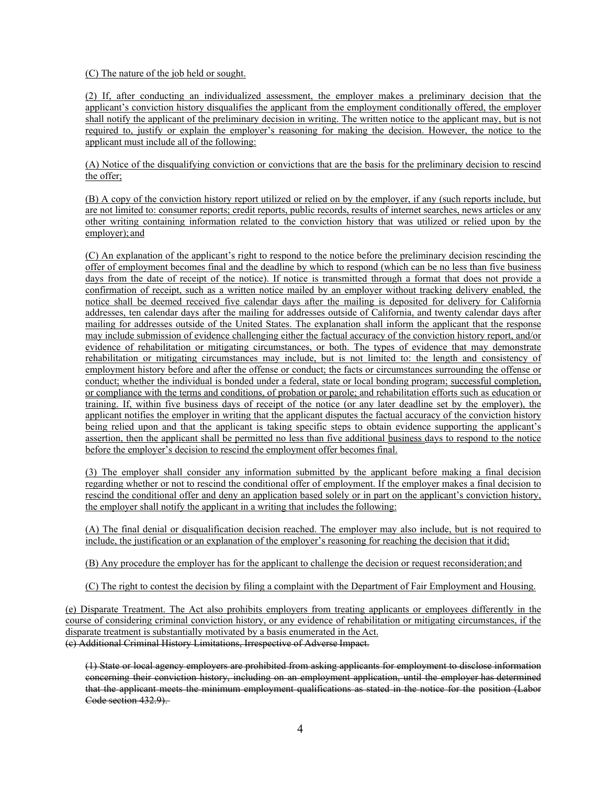(C) The nature of the job held or sought.

(2) If, after conducting an individualized assessment, the employer makes a preliminary decision that the applicant's conviction history disqualifies the applicant from the employment conditionally offered, the employer shall notify the applicant of the preliminary decision in writing. The written notice to the applicant may, but is not required to, justify or explain the employer's reasoning for making the decision. However, the notice to the applicant must include all of the following:

(A) Notice of the disqualifying conviction or convictions that are the basis for the preliminary decision to rescind the offer;

(B) A copy of the conviction history report utilized or relied on by the employer, if any (such reports include, but are not limited to: consumer reports; credit reports, public records, results of internet searches, news articles or any other writing containing information related to the conviction history that was utilized or relied upon by the employer); and

(C) An explanation of the applicant's right to respond to the notice before the preliminary decision rescinding the offer of employment becomes final and the deadline by which to respond (which can be no less than five business days from the date of receipt of the notice). If notice is transmitted through a format that does not provide a confirmation of receipt, such as a written notice mailed by an employer without tracking delivery enabled, the notice shall be deemed received five calendar days after the mailing is deposited for delivery for California addresses, ten calendar days after the mailing for addresses outside of California, and twenty calendar days after mailing for addresses outside of the United States. The explanation shall inform the applicant that the response may include submission of evidence challenging either the factual accuracy of the conviction history report, and/or evidence of rehabilitation or mitigating circumstances, or both. The types of evidence that may demonstrate rehabilitation or mitigating circumstances may include, but is not limited to: the length and consistency of employment history before and after the offense or conduct; the facts or circumstances surrounding the offense or conduct; whether the individual is bonded under a federal, state or local bonding program; successful completion, or compliance with the terms and conditions, of probation or parole; and rehabilitation efforts such as education or training. If, within five business days of receipt of the notice (or any later deadline set by the employer), the applicant notifies the employer in writing that the applicant disputes the factual accuracy of the conviction history being relied upon and that the applicant is taking specific steps to obtain evidence supporting the applicant's assertion, then the applicant shall be permitted no less than five additional business days to respond to the notice before the employer's decision to rescind the employment offer becomes final.

(3) The employer shall consider any information submitted by the applicant before making a final decision regarding whether or not to rescind the conditional offer of employment. If the employer makes a final decision to rescind the conditional offer and deny an application based solely or in part on the applicant's conviction history, the employer shall notify the applicant in a writing that includes the following:

(A) The final denial or disqualification decision reached. The employer may also include, but is not required to include, the justification or an explanation of the employer's reasoning for reaching the decision that it did;

(B) Any procedure the employer has for the applicant to challenge the decision or request reconsideration; and

(C) The right to contest the decision by filing a complaint with the Department of Fair Employment and Housing.

(e) Disparate Treatment. The Act also prohibits employers from treating applicants or employees differently in the course of considering criminal conviction history, or any evidence of rehabilitation or mitigating circumstances, if the disparate treatment is substantially motivated by a basis enumerated in the Act. (c) Additional Criminal History Limitations, Irrespective of Adverse Impact.

(1) State or local agency employers are prohibited from asking applicants for employment to disclose information concerning their conviction history, including on an employment application, until the employer has determined that the applicant meets the minimum employment qualifications as stated in the notice for the position (Labor Code section 432.9).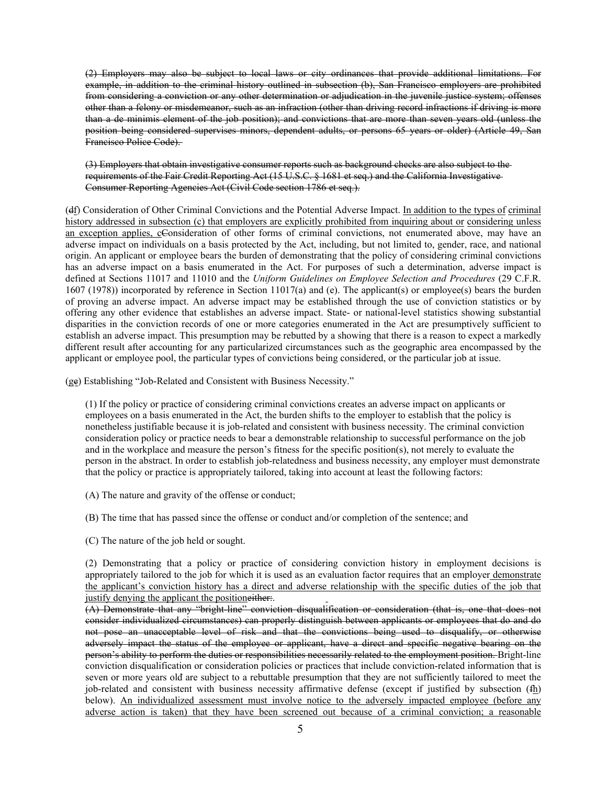(2) Employers may also be subject to local laws or city ordinances that provide additional limitations. For example, in addition to the criminal history outlined in subsection (b), San Francisco employers are prohibited from considering a conviction or any other determination or adjudication in the juvenile justice system; offenses other than a felony or misdemeanor, such as an infraction (other than driving record infractions if driving is more than a de minimis element of the job position); and convictions that are more than seven years old (unless the position being considered supervises minors, dependent adults, or persons 65 years or older) (Article 49, San Francisco Police Code).

(3) Employers that obtain investigative consumer reports such as background checks are also subject to the requirements of the Fair Credit Reporting Act (15 U.S.C. § 1681 et seq.) and the California Investigative Consumer Reporting Agencies Act (Civil Code section 1786 et seq.).

(df) Consideration of Other Criminal Convictions and the Potential Adverse Impact. In addition to the types of criminal history addressed in subsection (c) that employers are explicitly prohibited from inquiring about or considering unless an exception applies, cConsideration of other forms of criminal convictions, not enumerated above, may have an adverse impact on individuals on a basis protected by the Act, including, but not limited to, gender, race, and national origin. An applicant or employee bears the burden of demonstrating that the policy of considering criminal convictions has an adverse impact on a basis enumerated in the Act. For purposes of such a determination, adverse impact is defined at Sections 11017 and 11010 and the *Uniform Guidelines on Employee Selection and Procedures* (29 C.F.R. 1607 (1978)) incorporated by reference in Section 11017(a) and (e). The applicant(s) or employee(s) bears the burden of proving an adverse impact. An adverse impact may be established through the use of conviction statistics or by offering any other evidence that establishes an adverse impact. State- or national-level statistics showing substantial disparities in the conviction records of one or more categories enumerated in the Act are presumptively sufficient to establish an adverse impact. This presumption may be rebutted by a showing that there is a reason to expect a markedly different result after accounting for any particularized circumstances such as the geographic area encompassed by the applicant or employee pool, the particular types of convictions being considered, or the particular job at issue.

(ge) Establishing "Job-Related and Consistent with Business Necessity."

(1) If the policy or practice of considering criminal convictions creates an adverse impact on applicants or employees on a basis enumerated in the Act, the burden shifts to the employer to establish that the policy is nonetheless justifiable because it is job-related and consistent with business necessity. The criminal conviction consideration policy or practice needs to bear a demonstrable relationship to successful performance on the job and in the workplace and measure the person's fitness for the specific position(s), not merely to evaluate the person in the abstract. In order to establish job-relatedness and business necessity, any employer must demonstrate that the policy or practice is appropriately tailored, taking into account at least the following factors:

(A) The nature and gravity of the offense or conduct;

(B) The time that has passed since the offense or conduct and/or completion of the sentence; and

(C) The nature of the job held or sought.

(2) Demonstrating that a policy or practice of considering conviction history in employment decisions is appropriately tailored to the job for which it is used as an evaluation factor requires that an employer demonstrate the applicant's conviction history has a direct and adverse relationship with the specific duties of the job that justify denying the applicant the positioneither.

(A) Demonstrate that any "bright-line" conviction disqualification or consideration (that is, one that does not consider individualized circumstances) can properly distinguish between applicants or employees that do and do not pose an unacceptable level of risk and that the convictions being used to disqualify, or otherwise adversely impact the status of the employee or applicant, have a direct and specific negative bearing on the person's ability to perform the duties or responsibilities necessarily related to the employment position. Bright-line conviction disqualification or consideration policies or practices that include conviction-related information that is seven or more years old are subject to a rebuttable presumption that they are not sufficiently tailored to meet the job-related and consistent with business necessity affirmative defense (except if justified by subsection (fh) below). An individualized assessment must involve notice to the adversely impacted employee (before any adverse action is taken) that they have been screened out because of a criminal conviction; a reasonable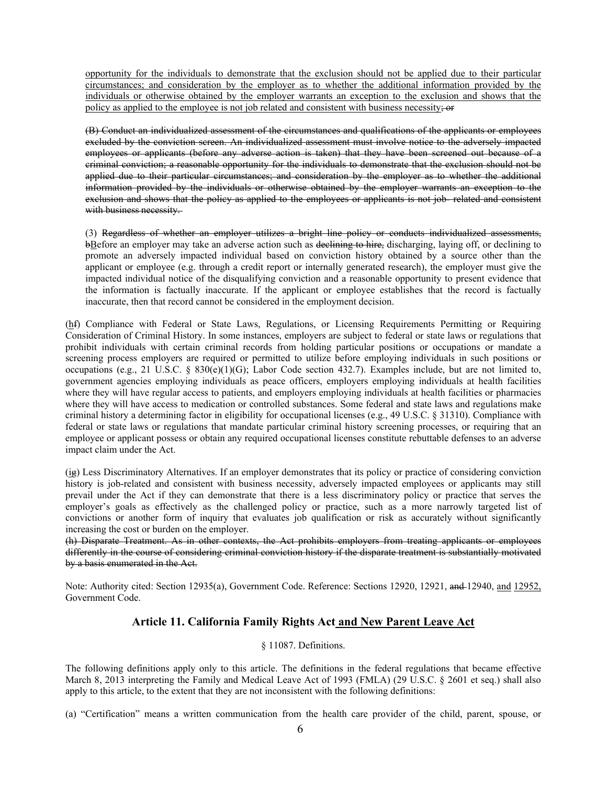opportunity for the individuals to demonstrate that the exclusion should not be applied due to their particular circumstances; and consideration by the employer as to whether the additional information provided by the individuals or otherwise obtained by the employer warrants an exception to the exclusion and shows that the policy as applied to the employee is not job related and consistent with business necessity;  $\overrightarrow{or}$ 

(B) Conduct an individualized assessment of the circumstances and qualifications of the applicants or employees excluded by the conviction screen. An individualized assessment must involve notice to the adversely impacted employees or applicants (before any adverse action is taken) that they have been screened out because of a criminal conviction; a reasonable opportunity for the individuals to demonstrate that the exclusion should not be applied due to their particular circumstances; and consideration by the employer as to whether the additional information provided by the individuals or otherwise obtained by the employer warrants an exception to the exclusion and shows that the policy as applied to the employees or applicants is not job- related and consistent with business necessity.

(3) Regardless of whether an employer utilizes a bright line policy or conducts individualized assessments, bBefore an employer may take an adverse action such as declining to hire, discharging, laying off, or declining to promote an adversely impacted individual based on conviction history obtained by a source other than the applicant or employee (e.g. through a credit report or internally generated research), the employer must give the impacted individual notice of the disqualifying conviction and a reasonable opportunity to present evidence that the information is factually inaccurate. If the applicant or employee establishes that the record is factually inaccurate, then that record cannot be considered in the employment decision.

(hf) Compliance with Federal or State Laws, Regulations, or Licensing Requirements Permitting or Requiring Consideration of Criminal History. In some instances, employers are subject to federal or state laws or regulations that prohibit individuals with certain criminal records from holding particular positions or occupations or mandate a screening process employers are required or permitted to utilize before employing individuals in such positions or occupations (e.g., 21 U.S.C. § 830(e)(1)(G); Labor Code section 432.7). Examples include, but are not limited to, government agencies employing individuals as peace officers, employers employing individuals at health facilities where they will have regular access to patients, and employers employing individuals at health facilities or pharmacies where they will have access to medication or controlled substances. Some federal and state laws and regulations make criminal history a determining factor in eligibility for occupational licenses (e.g., 49 U.S.C. § 31310). Compliance with federal or state laws or regulations that mandate particular criminal history screening processes, or requiring that an employee or applicant possess or obtain any required occupational licenses constitute rebuttable defenses to an adverse impact claim under the Act.

 $(i_{\mathbf{F}})$  Less Discriminatory Alternatives. If an employer demonstrates that its policy or practice of considering conviction history is job-related and consistent with business necessity, adversely impacted employees or applicants may still prevail under the Act if they can demonstrate that there is a less discriminatory policy or practice that serves the employer's goals as effectively as the challenged policy or practice, such as a more narrowly targeted list of convictions or another form of inquiry that evaluates job qualification or risk as accurately without significantly increasing the cost or burden on the employer.

(h) Disparate Treatment. As in other contexts, the Act prohibits employers from treating applicants or employees differently in the course of considering criminal conviction history if the disparate treatment is substantially motivated by a basis enumerated in the Act.

Note: Authority cited: Section 12935(a), Government Code. Reference: Sections 12920, 12921, and 12940, and 12952, Government Code.

## **Article 11. California Family Rights Act and New Parent Leave Act**

#### § 11087. Definitions.

The following definitions apply only to this article. The definitions in the federal regulations that became effective March 8, 2013 interpreting the Family and Medical Leave Act of 1993 (FMLA) (29 U.S.C. § 2601 et seq.) shall also apply to this article, to the extent that they are not inconsistent with the following definitions:

(a) "Certification" means a written communication from the health care provider of the child, parent, spouse, or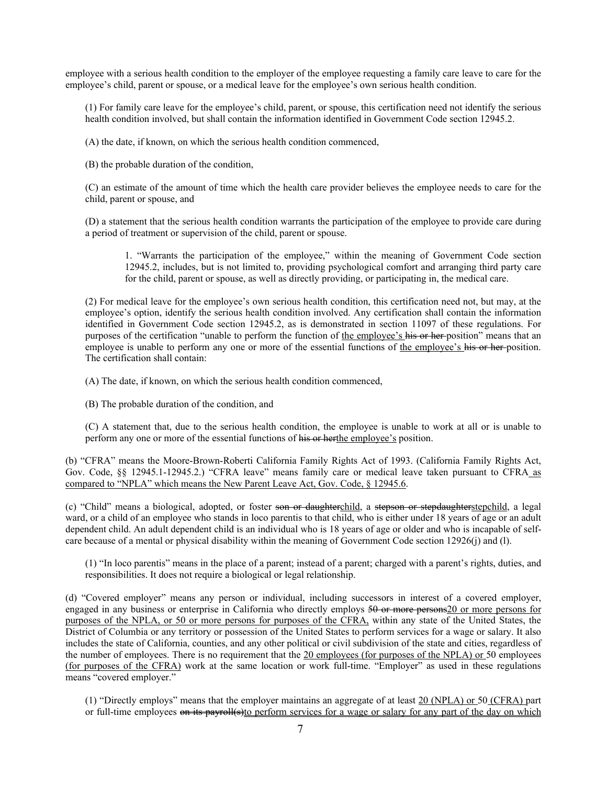employee with a serious health condition to the employer of the employee requesting a family care leave to care for the employee's child, parent or spouse, or a medical leave for the employee's own serious health condition.

(1) For family care leave for the employee's child, parent, or spouse, this certification need not identify the serious health condition involved, but shall contain the information identified in Government Code section 12945.2.

(A) the date, if known, on which the serious health condition commenced,

(B) the probable duration of the condition,

(C) an estimate of the amount of time which the health care provider believes the employee needs to care for the child, parent or spouse, and

(D) a statement that the serious health condition warrants the participation of the employee to provide care during a period of treatment or supervision of the child, parent or spouse.

1. "Warrants the participation of the employee," within the meaning of Government Code section 12945.2, includes, but is not limited to, providing psychological comfort and arranging third party care for the child, parent or spouse, as well as directly providing, or participating in, the medical care.

(2) For medical leave for the employee's own serious health condition, this certification need not, but may, at the employee's option, identify the serious health condition involved. Any certification shall contain the information identified in Government Code section 12945.2, as is demonstrated in section 11097 of these regulations. For purposes of the certification "unable to perform the function of the employee's his or her position" means that an employee is unable to perform any one or more of the essential functions of the employee's his or her position. The certification shall contain:

(A) The date, if known, on which the serious health condition commenced,

(B) The probable duration of the condition, and

(C) A statement that, due to the serious health condition, the employee is unable to work at all or is unable to perform any one or more of the essential functions of his or herthe employee's position.

(b) "CFRA" means the Moore-Brown-Roberti California Family Rights Act of 1993. (California Family Rights Act, Gov. Code, §§ 12945.1-12945.2.) "CFRA leave" means family care or medical leave taken pursuant to CFRA as compared to "NPLA" which means the New Parent Leave Act, Gov. Code, § 12945.6.

(c) "Child" means a biological, adopted, or foster son or daughterchild, a stepson or stepdaughterstepchild, a legal ward, or a child of an employee who stands in loco parentis to that child, who is either under 18 years of age or an adult dependent child. An adult dependent child is an individual who is 18 years of age or older and who is incapable of selfcare because of a mental or physical disability within the meaning of Government Code section 12926(j) and (l).

(1) "In loco parentis" means in the place of a parent; instead of a parent; charged with a parent's rights, duties, and responsibilities. It does not require a biological or legal relationship.

(d) "Covered employer" means any person or individual, including successors in interest of a covered employer, engaged in any business or enterprise in California who directly employs 50 or more persons20 or more persons for purposes of the NPLA, or 50 or more persons for purposes of the CFRA, within any state of the United States, the District of Columbia or any territory or possession of the United States to perform services for a wage or salary. It also includes the state of California, counties, and any other political or civil subdivision of the state and cities, regardless of the number of employees. There is no requirement that the 20 employees (for purposes of the NPLA) or 50 employees (for purposes of the CFRA) work at the same location or work full-time. "Employer" as used in these regulations means "covered employer."

(1) "Directly employs" means that the employer maintains an aggregate of at least 20 (NPLA) or 50 (CFRA) part or full-time employees on its payroll(s)to perform services for a wage or salary for any part of the day on which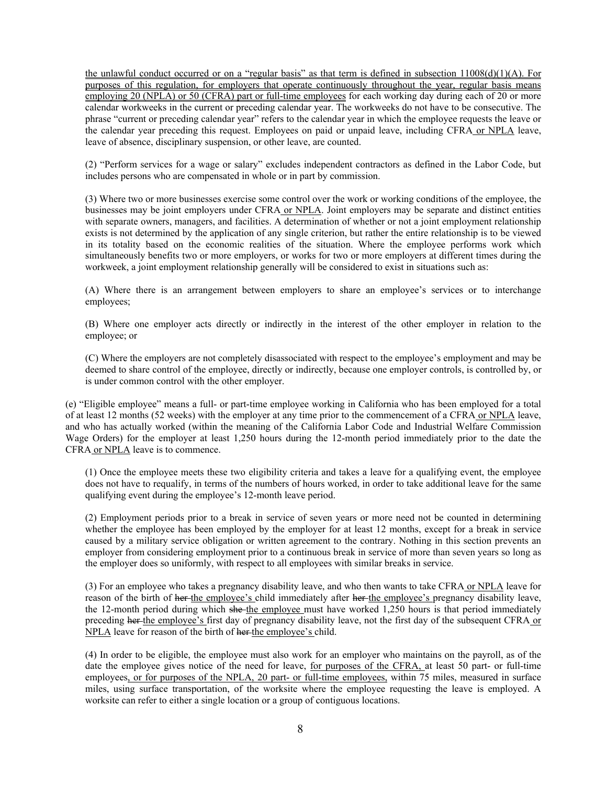the unlawful conduct occurred or on a "regular basis" as that term is defined in subsection 11008(d)(1)(A). For purposes of this regulation, for employers that operate continuously throughout the year, regular basis means employing 20 (NPLA) or 50 (CFRA) part or full-time employees for each working day during each of 20 or more calendar workweeks in the current or preceding calendar year. The workweeks do not have to be consecutive. The phrase "current or preceding calendar year" refers to the calendar year in which the employee requests the leave or the calendar year preceding this request. Employees on paid or unpaid leave, including CFRA or NPLA leave, leave of absence, disciplinary suspension, or other leave, are counted.

(2) "Perform services for a wage or salary" excludes independent contractors as defined in the Labor Code, but includes persons who are compensated in whole or in part by commission.

(3) Where two or more businesses exercise some control over the work or working conditions of the employee, the businesses may be joint employers under CFRA or NPLA. Joint employers may be separate and distinct entities with separate owners, managers, and facilities. A determination of whether or not a joint employment relationship exists is not determined by the application of any single criterion, but rather the entire relationship is to be viewed in its totality based on the economic realities of the situation. Where the employee performs work which simultaneously benefits two or more employers, or works for two or more employers at different times during the workweek, a joint employment relationship generally will be considered to exist in situations such as:

(A) Where there is an arrangement between employers to share an employee's services or to interchange employees;

(B) Where one employer acts directly or indirectly in the interest of the other employer in relation to the employee; or

(C) Where the employers are not completely disassociated with respect to the employee's employment and may be deemed to share control of the employee, directly or indirectly, because one employer controls, is controlled by, or is under common control with the other employer.

(e) "Eligible employee" means a full- or part-time employee working in California who has been employed for a total of at least 12 months (52 weeks) with the employer at any time prior to the commencement of a CFRA or NPLA leave, and who has actually worked (within the meaning of the California Labor Code and Industrial Welfare Commission Wage Orders) for the employer at least 1,250 hours during the 12-month period immediately prior to the date the CFRA or NPLA leave is to commence.

(1) Once the employee meets these two eligibility criteria and takes a leave for a qualifying event, the employee does not have to requalify, in terms of the numbers of hours worked, in order to take additional leave for the same qualifying event during the employee's 12-month leave period.

(2) Employment periods prior to a break in service of seven years or more need not be counted in determining whether the employee has been employed by the employer for at least 12 months, except for a break in service caused by a military service obligation or written agreement to the contrary. Nothing in this section prevents an employer from considering employment prior to a continuous break in service of more than seven years so long as the employer does so uniformly, with respect to all employees with similar breaks in service.

(3) For an employee who takes a pregnancy disability leave, and who then wants to take CFRA or NPLA leave for reason of the birth of her the employee's child immediately after her the employee's pregnancy disability leave, the 12-month period during which she the employee must have worked 1,250 hours is that period immediately preceding her the employee's first day of pregnancy disability leave, not the first day of the subsequent CFRA or NPLA leave for reason of the birth of her-the employee's child.

(4) In order to be eligible, the employee must also work for an employer who maintains on the payroll, as of the date the employee gives notice of the need for leave, for purposes of the CFRA, at least 50 part- or full-time employees, or for purposes of the NPLA, 20 part- or full-time employees, within 75 miles, measured in surface miles, using surface transportation, of the worksite where the employee requesting the leave is employed. A worksite can refer to either a single location or a group of contiguous locations.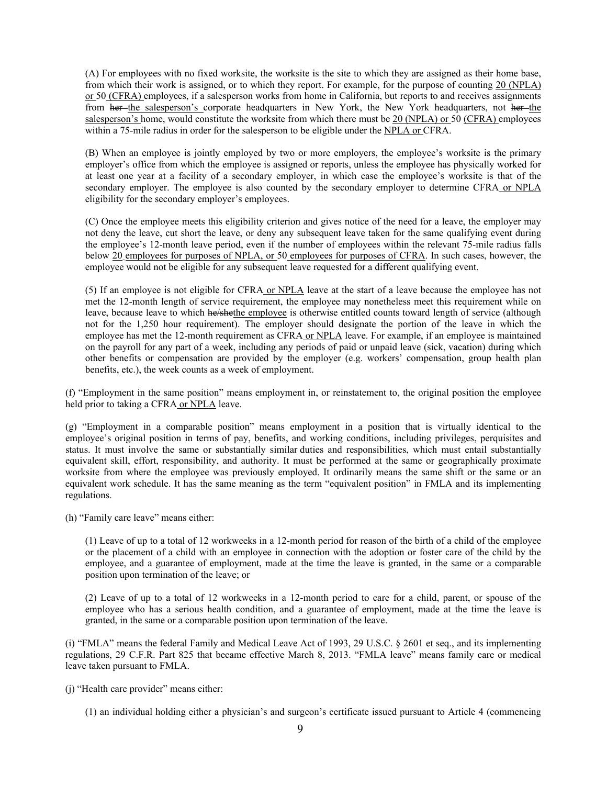(A) For employees with no fixed worksite, the worksite is the site to which they are assigned as their home base, from which their work is assigned, or to which they report. For example, for the purpose of counting 20 (NPLA) or 50 (CFRA) employees, if a salesperson works from home in California, but reports to and receives assignments from her-the salesperson's corporate headquarters in New York, the New York headquarters, not her-the salesperson's home, would constitute the worksite from which there must be 20 (NPLA) or 50 (CFRA) employees within a 75-mile radius in order for the salesperson to be eligible under the NPLA or CFRA.

(B) When an employee is jointly employed by two or more employers, the employee's worksite is the primary employer's office from which the employee is assigned or reports, unless the employee has physically worked for at least one year at a facility of a secondary employer, in which case the employee's worksite is that of the secondary employer. The employee is also counted by the secondary employer to determine CFRA or NPLA eligibility for the secondary employer's employees.

(C) Once the employee meets this eligibility criterion and gives notice of the need for a leave, the employer may not deny the leave, cut short the leave, or deny any subsequent leave taken for the same qualifying event during the employee's 12-month leave period, even if the number of employees within the relevant 75-mile radius falls below 20 employees for purposes of NPLA, or 50 employees for purposes of CFRA. In such cases, however, the employee would not be eligible for any subsequent leave requested for a different qualifying event.

(5) If an employee is not eligible for CFRA or NPLA leave at the start of a leave because the employee has not met the 12-month length of service requirement, the employee may nonetheless meet this requirement while on leave, because leave to which he/shethe employee is otherwise entitled counts toward length of service (although not for the 1,250 hour requirement). The employer should designate the portion of the leave in which the employee has met the 12-month requirement as CFRA or NPLA leave. For example, if an employee is maintained on the payroll for any part of a week, including any periods of paid or unpaid leave (sick, vacation) during which other benefits or compensation are provided by the employer (e.g. workers' compensation, group health plan benefits, etc.), the week counts as a week of employment.

(f) "Employment in the same position" means employment in, or reinstatement to, the original position the employee held prior to taking a CFRA or NPLA leave.

(g) "Employment in a comparable position" means employment in a position that is virtually identical to the employee's original position in terms of pay, benefits, and working conditions, including privileges, perquisites and status. It must involve the same or substantially similar duties and responsibilities, which must entail substantially equivalent skill, effort, responsibility, and authority. It must be performed at the same or geographically proximate worksite from where the employee was previously employed. It ordinarily means the same shift or the same or an equivalent work schedule. It has the same meaning as the term "equivalent position" in FMLA and its implementing regulations.

(h) "Family care leave" means either:

(1) Leave of up to a total of 12 workweeks in a 12-month period for reason of the birth of a child of the employee or the placement of a child with an employee in connection with the adoption or foster care of the child by the employee, and a guarantee of employment, made at the time the leave is granted, in the same or a comparable position upon termination of the leave; or

(2) Leave of up to a total of 12 workweeks in a 12-month period to care for a child, parent, or spouse of the employee who has a serious health condition, and a guarantee of employment, made at the time the leave is granted, in the same or a comparable position upon termination of the leave.

(i) "FMLA" means the federal Family and Medical Leave Act of 1993, 29 U.S.C. § 2601 et seq., and its implementing regulations, 29 C.F.R. Part 825 that became effective March 8, 2013. "FMLA leave" means family care or medical leave taken pursuant to FMLA.

(j) "Health care provider" means either:

(1) an individual holding either a physician's and surgeon's certificate issued pursuant to Article 4 (commencing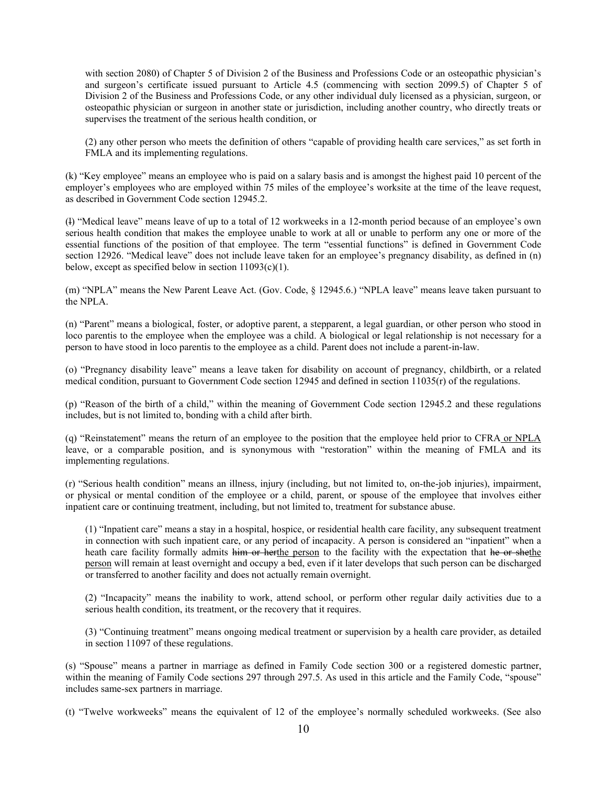with section 2080) of Chapter 5 of Division 2 of the Business and Professions Code or an osteopathic physician's and surgeon's certificate issued pursuant to Article 4.5 (commencing with section 2099.5) of Chapter 5 of Division 2 of the Business and Professions Code, or any other individual duly licensed as a physician, surgeon, or osteopathic physician or surgeon in another state or jurisdiction, including another country, who directly treats or supervises the treatment of the serious health condition, or

(2) any other person who meets the definition of others "capable of providing health care services," as set forth in FMLA and its implementing regulations.

(k) "Key employee" means an employee who is paid on a salary basis and is amongst the highest paid 10 percent of the employer's employees who are employed within 75 miles of the employee's worksite at the time of the leave request, as described in Government Code section 12945.2.

(l) "Medical leave" means leave of up to a total of 12 workweeks in a 12-month period because of an employee's own serious health condition that makes the employee unable to work at all or unable to perform any one or more of the essential functions of the position of that employee. The term "essential functions" is defined in Government Code section 12926. "Medical leave" does not include leave taken for an employee's pregnancy disability, as defined in (n) below, except as specified below in section  $11093(c)(1)$ .

(m) "NPLA" means the New Parent Leave Act. (Gov. Code, § 12945.6.) "NPLA leave" means leave taken pursuant to the NPLA.

(n) "Parent" means a biological, foster, or adoptive parent, a stepparent, a legal guardian, or other person who stood in loco parentis to the employee when the employee was a child. A biological or legal relationship is not necessary for a person to have stood in loco parentis to the employee as a child. Parent does not include a parent-in-law.

(o) "Pregnancy disability leave" means a leave taken for disability on account of pregnancy, childbirth, or a related medical condition, pursuant to Government Code section 12945 and defined in section 11035(r) of the regulations.

(p) "Reason of the birth of a child," within the meaning of Government Code section 12945.2 and these regulations includes, but is not limited to, bonding with a child after birth.

(q) "Reinstatement" means the return of an employee to the position that the employee held prior to CFRA or NPLA leave, or a comparable position, and is synonymous with "restoration" within the meaning of FMLA and its implementing regulations.

(r) "Serious health condition" means an illness, injury (including, but not limited to, on-the-job injuries), impairment, or physical or mental condition of the employee or a child, parent, or spouse of the employee that involves either inpatient care or continuing treatment, including, but not limited to, treatment for substance abuse.

(1) "Inpatient care" means a stay in a hospital, hospice, or residential health care facility, any subsequent treatment in connection with such inpatient care, or any period of incapacity. A person is considered an "inpatient" when a heath care facility formally admits him or herthe person to the facility with the expectation that he or shethe person will remain at least overnight and occupy a bed, even if it later develops that such person can be discharged or transferred to another facility and does not actually remain overnight.

(2) "Incapacity" means the inability to work, attend school, or perform other regular daily activities due to a serious health condition, its treatment, or the recovery that it requires.

(3) "Continuing treatment" means ongoing medical treatment or supervision by a health care provider, as detailed in section 11097 of these regulations.

(s) "Spouse" means a partner in marriage as defined in Family Code section 300 or a registered domestic partner, within the meaning of Family Code sections 297 through 297.5. As used in this article and the Family Code, "spouse" includes same-sex partners in marriage.

(t) "Twelve workweeks" means the equivalent of 12 of the employee's normally scheduled workweeks. (See also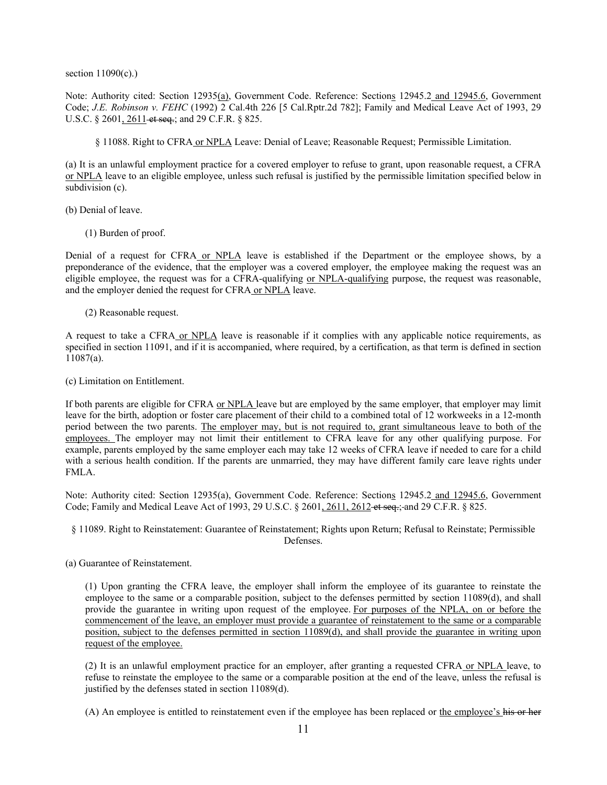section 11090(c).)

Note: Authority cited: Section 12935(a), Government Code. Reference: Sections 12945.2 and 12945.6, Government Code; *J.E. Robinson v. FEHC* (1992) 2 Cal.4th 226 [5 Cal.Rptr.2d 782]; Family and Medical Leave Act of 1993, 29 U.S.C. § 2601, 2611 et seq.; and 29 C.F.R. § 825.

§ 11088. Right to CFRA or NPLA Leave: Denial of Leave; Reasonable Request; Permissible Limitation.

(a) It is an unlawful employment practice for a covered employer to refuse to grant, upon reasonable request, a CFRA or NPLA leave to an eligible employee, unless such refusal is justified by the permissible limitation specified below in subdivision (c).

(b) Denial of leave.

(1) Burden of proof.

Denial of a request for CFRA or NPLA leave is established if the Department or the employee shows, by a preponderance of the evidence, that the employer was a covered employer, the employee making the request was an eligible employee, the request was for a CFRA-qualifying or NPLA-qualifying purpose, the request was reasonable, and the employer denied the request for CFRA or NPLA leave.

(2) Reasonable request.

A request to take a CFRA or NPLA leave is reasonable if it complies with any applicable notice requirements, as specified in section 11091, and if it is accompanied, where required, by a certification, as that term is defined in section 11087(a).

(c) Limitation on Entitlement.

If both parents are eligible for CFRA or NPLA leave but are employed by the same employer, that employer may limit leave for the birth, adoption or foster care placement of their child to a combined total of 12 workweeks in a 12-month period between the two parents. The employer may, but is not required to, grant simultaneous leave to both of the employees. The employer may not limit their entitlement to CFRA leave for any other qualifying purpose. For example, parents employed by the same employer each may take 12 weeks of CFRA leave if needed to care for a child with a serious health condition. If the parents are unmarried, they may have different family care leave rights under FMLA.

Note: Authority cited: Section 12935(a), Government Code. Reference: Sections 12945.2 and 12945.6, Government Code; Family and Medical Leave Act of 1993, 29 U.S.C. § 2601, 2611, 2612 et seq.; and 29 C.F.R. § 825.

## § 11089. Right to Reinstatement: Guarantee of Reinstatement; Rights upon Return; Refusal to Reinstate; Permissible Defenses.

(a) Guarantee of Reinstatement.

(1) Upon granting the CFRA leave, the employer shall inform the employee of its guarantee to reinstate the employee to the same or a comparable position, subject to the defenses permitted by section 11089(d), and shall provide the guarantee in writing upon request of the employee. For purposes of the NPLA, on or before the commencement of the leave, an employer must provide a guarantee of reinstatement to the same or a comparable position, subject to the defenses permitted in section 11089(d), and shall provide the guarantee in writing upon request of the employee.

(2) It is an unlawful employment practice for an employer, after granting a requested CFRA or NPLA leave, to refuse to reinstate the employee to the same or a comparable position at the end of the leave, unless the refusal is justified by the defenses stated in section 11089(d).

(A) An employee is entitled to reinstatement even if the employee has been replaced or the employee's his or her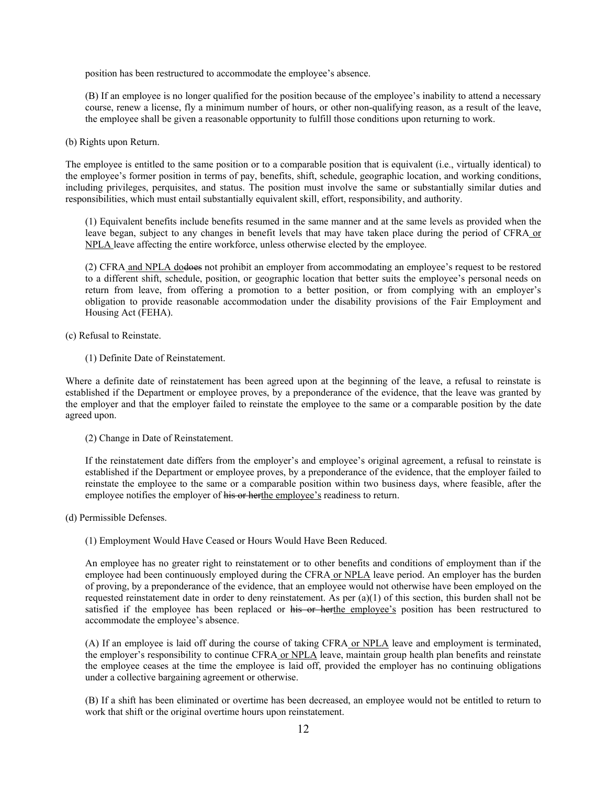position has been restructured to accommodate the employee's absence.

(B) If an employee is no longer qualified for the position because of the employee's inability to attend a necessary course, renew a license, fly a minimum number of hours, or other non-qualifying reason, as a result of the leave, the employee shall be given a reasonable opportunity to fulfill those conditions upon returning to work.

(b) Rights upon Return.

The employee is entitled to the same position or to a comparable position that is equivalent (i.e., virtually identical) to the employee's former position in terms of pay, benefits, shift, schedule, geographic location, and working conditions, including privileges, perquisites, and status. The position must involve the same or substantially similar duties and responsibilities, which must entail substantially equivalent skill, effort, responsibility, and authority.

(1) Equivalent benefits include benefits resumed in the same manner and at the same levels as provided when the leave began, subject to any changes in benefit levels that may have taken place during the period of CFRA or NPLA leave affecting the entire workforce, unless otherwise elected by the employee.

(2) CFRA and NPLA dodoes not prohibit an employer from accommodating an employee's request to be restored to a different shift, schedule, position, or geographic location that better suits the employee's personal needs on return from leave, from offering a promotion to a better position, or from complying with an employer's obligation to provide reasonable accommodation under the disability provisions of the Fair Employment and Housing Act (FEHA).

(c) Refusal to Reinstate.

(1) Definite Date of Reinstatement.

Where a definite date of reinstatement has been agreed upon at the beginning of the leave, a refusal to reinstate is established if the Department or employee proves, by a preponderance of the evidence, that the leave was granted by the employer and that the employer failed to reinstate the employee to the same or a comparable position by the date agreed upon.

(2) Change in Date of Reinstatement.

If the reinstatement date differs from the employer's and employee's original agreement, a refusal to reinstate is established if the Department or employee proves, by a preponderance of the evidence, that the employer failed to reinstate the employee to the same or a comparable position within two business days, where feasible, after the employee notifies the employer of his or herthe employee's readiness to return.

(d) Permissible Defenses.

(1) Employment Would Have Ceased or Hours Would Have Been Reduced.

An employee has no greater right to reinstatement or to other benefits and conditions of employment than if the employee had been continuously employed during the CFRA or NPLA leave period. An employer has the burden of proving, by a preponderance of the evidence, that an employee would not otherwise have been employed on the requested reinstatement date in order to deny reinstatement. As per  $(a)(1)$  of this section, this burden shall not be satisfied if the employee has been replaced or his or herthe employee's position has been restructured to accommodate the employee's absence.

(A) If an employee is laid off during the course of taking CFRA or NPLA leave and employment is terminated, the employer's responsibility to continue CFRA or NPLA leave, maintain group health plan benefits and reinstate the employee ceases at the time the employee is laid off, provided the employer has no continuing obligations under a collective bargaining agreement or otherwise.

(B) If a shift has been eliminated or overtime has been decreased, an employee would not be entitled to return to work that shift or the original overtime hours upon reinstatement.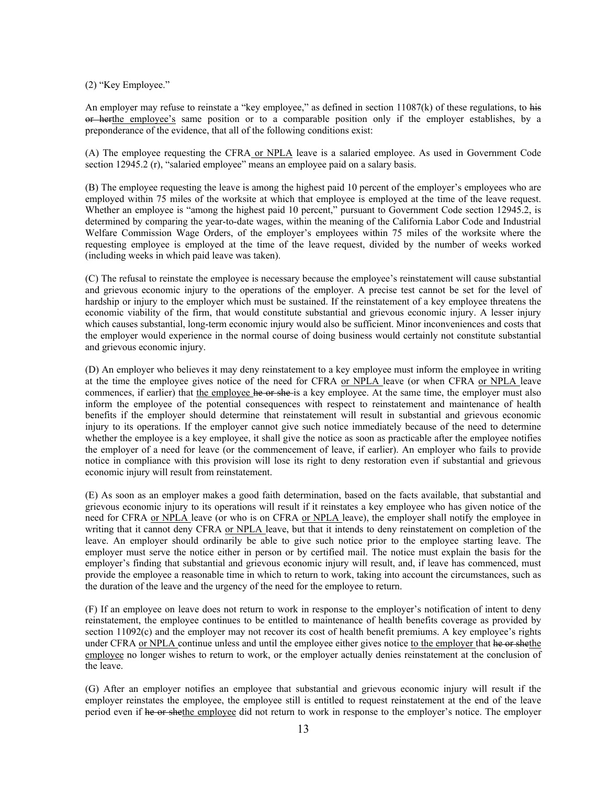(2) "Key Employee."

An employer may refuse to reinstate a "key employee," as defined in section  $11087(k)$  of these regulations, to his or herthe employee's same position or to a comparable position only if the employer establishes, by a preponderance of the evidence, that all of the following conditions exist:

(A) The employee requesting the CFRA or NPLA leave is a salaried employee. As used in Government Code section 12945.2 (r), "salaried employee" means an employee paid on a salary basis.

(B) The employee requesting the leave is among the highest paid 10 percent of the employer's employees who are employed within 75 miles of the worksite at which that employee is employed at the time of the leave request. Whether an employee is "among the highest paid 10 percent," pursuant to Government Code section 12945.2, is determined by comparing the year-to-date wages, within the meaning of the California Labor Code and Industrial Welfare Commission Wage Orders, of the employer's employees within 75 miles of the worksite where the requesting employee is employed at the time of the leave request, divided by the number of weeks worked (including weeks in which paid leave was taken).

(C) The refusal to reinstate the employee is necessary because the employee's reinstatement will cause substantial and grievous economic injury to the operations of the employer. A precise test cannot be set for the level of hardship or injury to the employer which must be sustained. If the reinstatement of a key employee threatens the economic viability of the firm, that would constitute substantial and grievous economic injury. A lesser injury which causes substantial, long-term economic injury would also be sufficient. Minor inconveniences and costs that the employer would experience in the normal course of doing business would certainly not constitute substantial and grievous economic injury.

(D) An employer who believes it may deny reinstatement to a key employee must inform the employee in writing at the time the employee gives notice of the need for CFRA or NPLA leave (or when CFRA or NPLA leave commences, if earlier) that the employee he or she-is a key employee. At the same time, the employer must also inform the employee of the potential consequences with respect to reinstatement and maintenance of health benefits if the employer should determine that reinstatement will result in substantial and grievous economic injury to its operations. If the employer cannot give such notice immediately because of the need to determine whether the employee is a key employee, it shall give the notice as soon as practicable after the employee notifies the employer of a need for leave (or the commencement of leave, if earlier). An employer who fails to provide notice in compliance with this provision will lose its right to deny restoration even if substantial and grievous economic injury will result from reinstatement.

(E) As soon as an employer makes a good faith determination, based on the facts available, that substantial and grievous economic injury to its operations will result if it reinstates a key employee who has given notice of the need for CFRA or NPLA leave (or who is on CFRA or NPLA leave), the employer shall notify the employee in writing that it cannot deny CFRA or NPLA leave, but that it intends to deny reinstatement on completion of the leave. An employer should ordinarily be able to give such notice prior to the employee starting leave. The employer must serve the notice either in person or by certified mail. The notice must explain the basis for the employer's finding that substantial and grievous economic injury will result, and, if leave has commenced, must provide the employee a reasonable time in which to return to work, taking into account the circumstances, such as the duration of the leave and the urgency of the need for the employee to return.

(F) If an employee on leave does not return to work in response to the employer's notification of intent to deny reinstatement, the employee continues to be entitled to maintenance of health benefits coverage as provided by section 11092(c) and the employer may not recover its cost of health benefit premiums. A key employee's rights under CFRA or NPLA continue unless and until the employee either gives notice to the employer that he or shethe employee no longer wishes to return to work, or the employer actually denies reinstatement at the conclusion of the leave.

(G) After an employer notifies an employee that substantial and grievous economic injury will result if the employer reinstates the employee, the employee still is entitled to request reinstatement at the end of the leave period even if he or shethe employee did not return to work in response to the employer's notice. The employer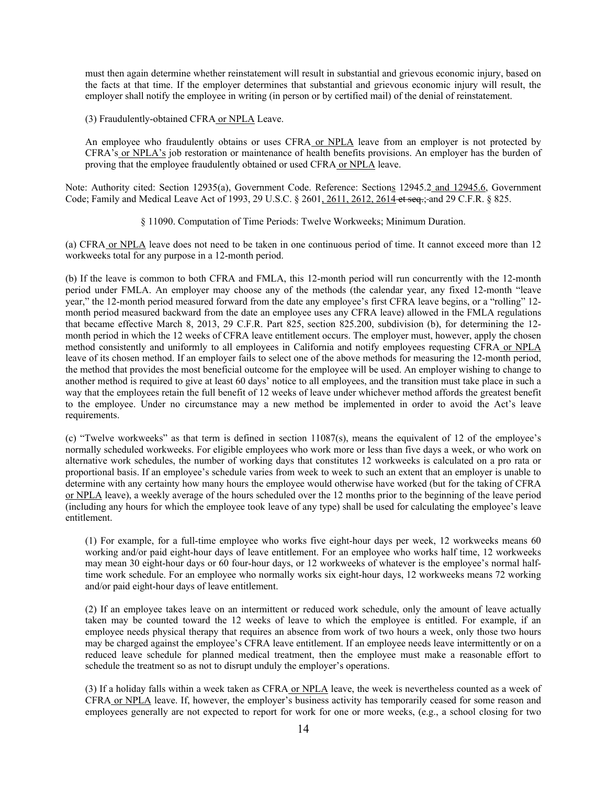must then again determine whether reinstatement will result in substantial and grievous economic injury, based on the facts at that time. If the employer determines that substantial and grievous economic injury will result, the employer shall notify the employee in writing (in person or by certified mail) of the denial of reinstatement.

(3) Fraudulently-obtained CFRA or NPLA Leave.

An employee who fraudulently obtains or uses CFRA or NPLA leave from an employer is not protected by CFRA's or NPLA's job restoration or maintenance of health benefits provisions. An employer has the burden of proving that the employee fraudulently obtained or used CFRA or NPLA leave.

Note: Authority cited: Section 12935(a), Government Code. Reference: Sections 12945.2 and 12945.6, Government Code; Family and Medical Leave Act of 1993, 29 U.S.C. § 2601, 2611, 2612, 2614 et seq.; and 29 C.F.R. § 825.

§ 11090. Computation of Time Periods: Twelve Workweeks; Minimum Duration.

(a) CFRA or NPLA leave does not need to be taken in one continuous period of time. It cannot exceed more than 12 workweeks total for any purpose in a 12-month period.

(b) If the leave is common to both CFRA and FMLA, this 12-month period will run concurrently with the 12-month period under FMLA. An employer may choose any of the methods (the calendar year, any fixed 12-month "leave year," the 12-month period measured forward from the date any employee's first CFRA leave begins, or a "rolling" 12 month period measured backward from the date an employee uses any CFRA leave) allowed in the FMLA regulations that became effective March 8, 2013, 29 C.F.R. Part 825, section 825.200, subdivision (b), for determining the 12 month period in which the 12 weeks of CFRA leave entitlement occurs. The employer must, however, apply the chosen method consistently and uniformly to all employees in California and notify employees requesting CFRA or NPLA leave of its chosen method. If an employer fails to select one of the above methods for measuring the 12-month period, the method that provides the most beneficial outcome for the employee will be used. An employer wishing to change to another method is required to give at least 60 days' notice to all employees, and the transition must take place in such a way that the employees retain the full benefit of 12 weeks of leave under whichever method affords the greatest benefit to the employee. Under no circumstance may a new method be implemented in order to avoid the Act's leave requirements.

(c) "Twelve workweeks" as that term is defined in section 11087(s), means the equivalent of 12 of the employee's normally scheduled workweeks. For eligible employees who work more or less than five days a week, or who work on alternative work schedules, the number of working days that constitutes 12 workweeks is calculated on a pro rata or proportional basis. If an employee's schedule varies from week to week to such an extent that an employer is unable to determine with any certainty how many hours the employee would otherwise have worked (but for the taking of CFRA or NPLA leave), a weekly average of the hours scheduled over the 12 months prior to the beginning of the leave period (including any hours for which the employee took leave of any type) shall be used for calculating the employee's leave entitlement.

(1) For example, for a full-time employee who works five eight-hour days per week, 12 workweeks means 60 working and/or paid eight-hour days of leave entitlement. For an employee who works half time, 12 workweeks may mean 30 eight-hour days or 60 four-hour days, or 12 workweeks of whatever is the employee's normal halftime work schedule. For an employee who normally works six eight-hour days, 12 workweeks means 72 working and/or paid eight-hour days of leave entitlement.

(2) If an employee takes leave on an intermittent or reduced work schedule, only the amount of leave actually taken may be counted toward the 12 weeks of leave to which the employee is entitled. For example, if an employee needs physical therapy that requires an absence from work of two hours a week, only those two hours may be charged against the employee's CFRA leave entitlement. If an employee needs leave intermittently or on a reduced leave schedule for planned medical treatment, then the employee must make a reasonable effort to schedule the treatment so as not to disrupt unduly the employer's operations.

(3) If a holiday falls within a week taken as CFRA or NPLA leave, the week is nevertheless counted as a week of CFRA or NPLA leave. If, however, the employer's business activity has temporarily ceased for some reason and employees generally are not expected to report for work for one or more weeks, (e.g., a school closing for two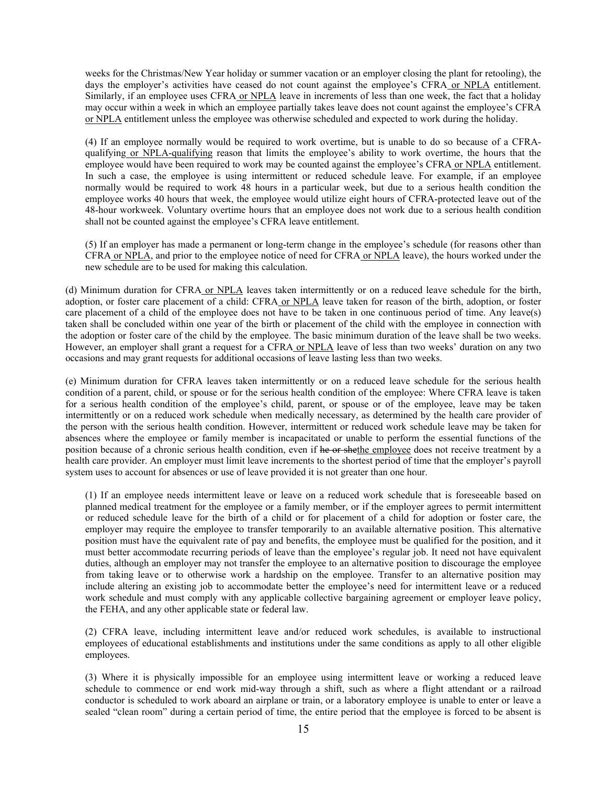weeks for the Christmas/New Year holiday or summer vacation or an employer closing the plant for retooling), the days the employer's activities have ceased do not count against the employee's CFRA or NPLA entitlement. Similarly, if an employee uses CFRA or NPLA leave in increments of less than one week, the fact that a holiday may occur within a week in which an employee partially takes leave does not count against the employee's CFRA or NPLA entitlement unless the employee was otherwise scheduled and expected to work during the holiday.

(4) If an employee normally would be required to work overtime, but is unable to do so because of a CFRAqualifying or NPLA-qualifying reason that limits the employee's ability to work overtime, the hours that the employee would have been required to work may be counted against the employee's CFRA or NPLA entitlement. In such a case, the employee is using intermittent or reduced schedule leave. For example, if an employee normally would be required to work 48 hours in a particular week, but due to a serious health condition the employee works 40 hours that week, the employee would utilize eight hours of CFRA-protected leave out of the 48-hour workweek. Voluntary overtime hours that an employee does not work due to a serious health condition shall not be counted against the employee's CFRA leave entitlement.

(5) If an employer has made a permanent or long-term change in the employee's schedule (for reasons other than CFRA or NPLA, and prior to the employee notice of need for CFRA or NPLA leave), the hours worked under the new schedule are to be used for making this calculation.

(d) Minimum duration for CFRA or NPLA leaves taken intermittently or on a reduced leave schedule for the birth, adoption, or foster care placement of a child: CFRA or NPLA leave taken for reason of the birth, adoption, or foster care placement of a child of the employee does not have to be taken in one continuous period of time. Any leave(s) taken shall be concluded within one year of the birth or placement of the child with the employee in connection with the adoption or foster care of the child by the employee. The basic minimum duration of the leave shall be two weeks. However, an employer shall grant a request for a CFRA or NPLA leave of less than two weeks' duration on any two occasions and may grant requests for additional occasions of leave lasting less than two weeks.

(e) Minimum duration for CFRA leaves taken intermittently or on a reduced leave schedule for the serious health condition of a parent, child, or spouse or for the serious health condition of the employee: Where CFRA leave is taken for a serious health condition of the employee's child, parent, or spouse or of the employee, leave may be taken intermittently or on a reduced work schedule when medically necessary, as determined by the health care provider of the person with the serious health condition. However, intermittent or reduced work schedule leave may be taken for absences where the employee or family member is incapacitated or unable to perform the essential functions of the position because of a chronic serious health condition, even if he or shethe employee does not receive treatment by a health care provider. An employer must limit leave increments to the shortest period of time that the employer's payroll system uses to account for absences or use of leave provided it is not greater than one hour.

(1) If an employee needs intermittent leave or leave on a reduced work schedule that is foreseeable based on planned medical treatment for the employee or a family member, or if the employer agrees to permit intermittent or reduced schedule leave for the birth of a child or for placement of a child for adoption or foster care, the employer may require the employee to transfer temporarily to an available alternative position. This alternative position must have the equivalent rate of pay and benefits, the employee must be qualified for the position, and it must better accommodate recurring periods of leave than the employee's regular job. It need not have equivalent duties, although an employer may not transfer the employee to an alternative position to discourage the employee from taking leave or to otherwise work a hardship on the employee. Transfer to an alternative position may include altering an existing job to accommodate better the employee's need for intermittent leave or a reduced work schedule and must comply with any applicable collective bargaining agreement or employer leave policy, the FEHA, and any other applicable state or federal law.

(2) CFRA leave, including intermittent leave and/or reduced work schedules, is available to instructional employees of educational establishments and institutions under the same conditions as apply to all other eligible employees.

(3) Where it is physically impossible for an employee using intermittent leave or working a reduced leave schedule to commence or end work mid-way through a shift, such as where a flight attendant or a railroad conductor is scheduled to work aboard an airplane or train, or a laboratory employee is unable to enter or leave a sealed "clean room" during a certain period of time, the entire period that the employee is forced to be absent is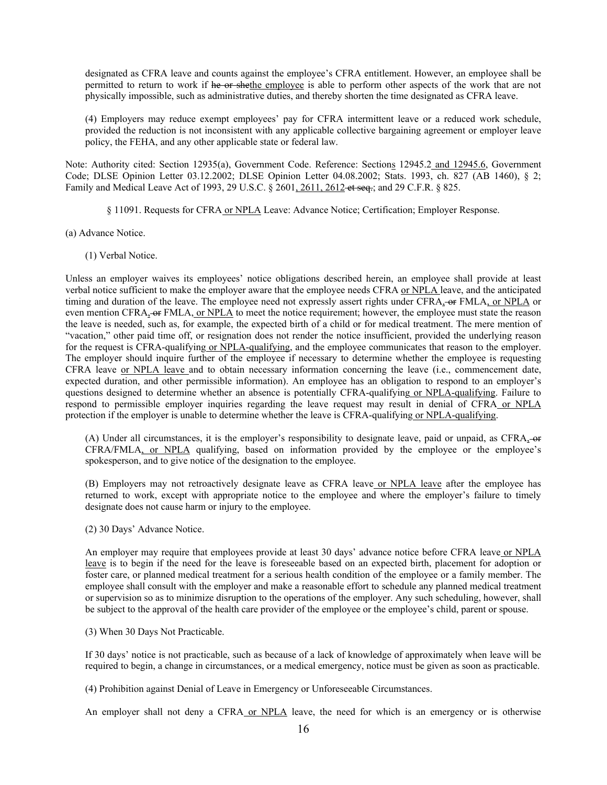designated as CFRA leave and counts against the employee's CFRA entitlement. However, an employee shall be permitted to return to work if he or shethe employee is able to perform other aspects of the work that are not physically impossible, such as administrative duties, and thereby shorten the time designated as CFRA leave.

(4) Employers may reduce exempt employees' pay for CFRA intermittent leave or a reduced work schedule, provided the reduction is not inconsistent with any applicable collective bargaining agreement or employer leave policy, the FEHA, and any other applicable state or federal law.

Note: Authority cited: Section 12935(a), Government Code. Reference: Sections 12945.2 and 12945.6, Government Code; DLSE Opinion Letter 03.12.2002; DLSE Opinion Letter 04.08.2002; Stats. 1993, ch. 827 (AB 1460), § 2; Family and Medical Leave Act of 1993, 29 U.S.C. § 2601, 2611, 2612 et seq.; and 29 C.F.R. § 825.

§ 11091. Requests for CFRA or NPLA Leave: Advance Notice; Certification; Employer Response.

(a) Advance Notice.

(1) Verbal Notice.

Unless an employer waives its employees' notice obligations described herein, an employee shall provide at least verbal notice sufficient to make the employer aware that the employee needs CFRA or NPLA leave, and the anticipated timing and duration of the leave. The employee need not expressly assert rights under CFRA, or FMLA, or NPLA or even mention CFRA,  $\Theta$  FMLA, or NPLA to meet the notice requirement; however, the employee must state the reason the leave is needed, such as, for example, the expected birth of a child or for medical treatment. The mere mention of "vacation," other paid time off, or resignation does not render the notice insufficient, provided the underlying reason for the request is CFRA-qualifying or NPLA-qualifying, and the employee communicates that reason to the employer. The employer should inquire further of the employee if necessary to determine whether the employee is requesting CFRA leave or NPLA leave and to obtain necessary information concerning the leave (i.e., commencement date, expected duration, and other permissible information). An employee has an obligation to respond to an employer's questions designed to determine whether an absence is potentially CFRA-qualifying or NPLA-qualifying. Failure to respond to permissible employer inquiries regarding the leave request may result in denial of CFRA or NPLA protection if the employer is unable to determine whether the leave is CFRA-qualifying or NPLA-qualifying.

(A) Under all circumstances, it is the employer's responsibility to designate leave, paid or unpaid, as CFRA, or CFRA/FMLA, or NPLA qualifying, based on information provided by the employee or the employee's spokesperson, and to give notice of the designation to the employee.

(B) Employers may not retroactively designate leave as CFRA leave or NPLA leave after the employee has returned to work, except with appropriate notice to the employee and where the employer's failure to timely designate does not cause harm or injury to the employee.

(2) 30 Days' Advance Notice.

An employer may require that employees provide at least 30 days' advance notice before CFRA leave or NPLA leave is to begin if the need for the leave is foreseeable based on an expected birth, placement for adoption or foster care, or planned medical treatment for a serious health condition of the employee or a family member. The employee shall consult with the employer and make a reasonable effort to schedule any planned medical treatment or supervision so as to minimize disruption to the operations of the employer. Any such scheduling, however, shall be subject to the approval of the health care provider of the employee or the employee's child, parent or spouse.

(3) When 30 Days Not Practicable.

If 30 days' notice is not practicable, such as because of a lack of knowledge of approximately when leave will be required to begin, a change in circumstances, or a medical emergency, notice must be given as soon as practicable.

(4) Prohibition against Denial of Leave in Emergency or Unforeseeable Circumstances.

An employer shall not deny a CFRA or NPLA leave, the need for which is an emergency or is otherwise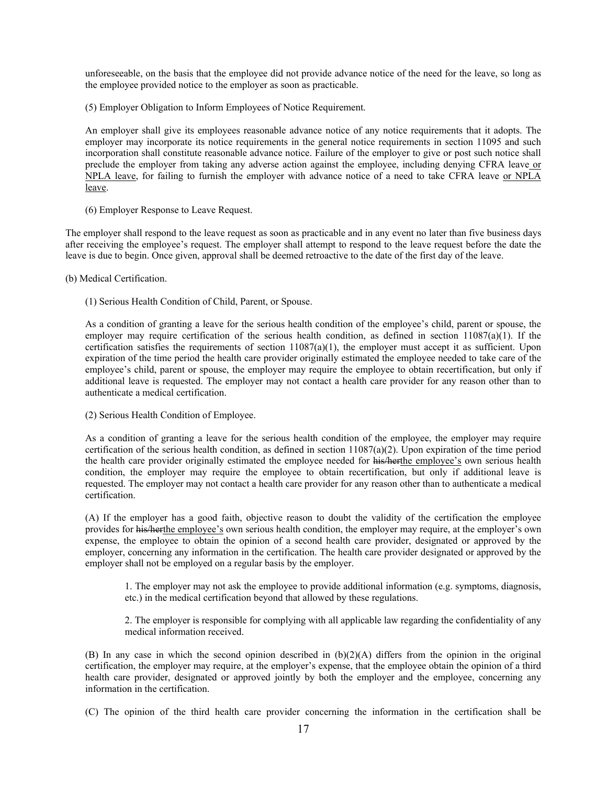unforeseeable, on the basis that the employee did not provide advance notice of the need for the leave, so long as the employee provided notice to the employer as soon as practicable.

(5) Employer Obligation to Inform Employees of Notice Requirement.

An employer shall give its employees reasonable advance notice of any notice requirements that it adopts. The employer may incorporate its notice requirements in the general notice requirements in section 11095 and such incorporation shall constitute reasonable advance notice. Failure of the employer to give or post such notice shall preclude the employer from taking any adverse action against the employee, including denying CFRA leave or NPLA leave, for failing to furnish the employer with advance notice of a need to take CFRA leave or NPLA leave.

(6) Employer Response to Leave Request.

The employer shall respond to the leave request as soon as practicable and in any event no later than five business days after receiving the employee's request. The employer shall attempt to respond to the leave request before the date the leave is due to begin. Once given, approval shall be deemed retroactive to the date of the first day of the leave.

(b) Medical Certification.

(1) Serious Health Condition of Child, Parent, or Spouse.

As a condition of granting a leave for the serious health condition of the employee's child, parent or spouse, the employer may require certification of the serious health condition, as defined in section 11087(a)(1). If the certification satisfies the requirements of section 11087(a)(1), the employer must accept it as sufficient. Upon expiration of the time period the health care provider originally estimated the employee needed to take care of the employee's child, parent or spouse, the employer may require the employee to obtain recertification, but only if additional leave is requested. The employer may not contact a health care provider for any reason other than to authenticate a medical certification.

(2) Serious Health Condition of Employee.

As a condition of granting a leave for the serious health condition of the employee, the employer may require certification of the serious health condition, as defined in section  $11087(a)(2)$ . Upon expiration of the time period the health care provider originally estimated the employee needed for his/herthe employee's own serious health condition, the employer may require the employee to obtain recertification, but only if additional leave is requested. The employer may not contact a health care provider for any reason other than to authenticate a medical certification.

(A) If the employer has a good faith, objective reason to doubt the validity of the certification the employee provides for his/herthe employee's own serious health condition, the employer may require, at the employer's own expense, the employee to obtain the opinion of a second health care provider, designated or approved by the employer, concerning any information in the certification. The health care provider designated or approved by the employer shall not be employed on a regular basis by the employer.

1. The employer may not ask the employee to provide additional information (e.g. symptoms, diagnosis, etc.) in the medical certification beyond that allowed by these regulations.

2. The employer is responsible for complying with all applicable law regarding the confidentiality of any medical information received.

(B) In any case in which the second opinion described in  $(b)(2)(A)$  differs from the opinion in the original certification, the employer may require, at the employer's expense, that the employee obtain the opinion of a third health care provider, designated or approved jointly by both the employer and the employee, concerning any information in the certification.

(C) The opinion of the third health care provider concerning the information in the certification shall be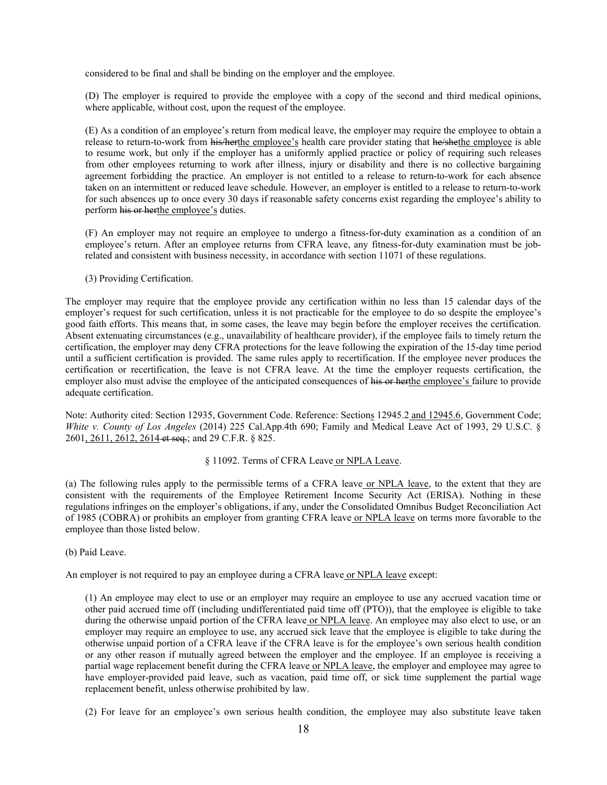considered to be final and shall be binding on the employer and the employee.

(D) The employer is required to provide the employee with a copy of the second and third medical opinions, where applicable, without cost, upon the request of the employee.

(E) As a condition of an employee's return from medical leave, the employer may require the employee to obtain a release to return-to-work from his/herthe employee's health care provider stating that he/shethe employee is able to resume work, but only if the employer has a uniformly applied practice or policy of requiring such releases from other employees returning to work after illness, injury or disability and there is no collective bargaining agreement forbidding the practice. An employer is not entitled to a release to return-to-work for each absence taken on an intermittent or reduced leave schedule. However, an employer is entitled to a release to return-to-work for such absences up to once every 30 days if reasonable safety concerns exist regarding the employee's ability to perform his or herthe employee's duties.

(F) An employer may not require an employee to undergo a fitness-for-duty examination as a condition of an employee's return. After an employee returns from CFRA leave, any fitness-for-duty examination must be jobrelated and consistent with business necessity, in accordance with section 11071 of these regulations.

(3) Providing Certification.

The employer may require that the employee provide any certification within no less than 15 calendar days of the employer's request for such certification, unless it is not practicable for the employee to do so despite the employee's good faith efforts. This means that, in some cases, the leave may begin before the employer receives the certification. Absent extenuating circumstances (e.g., unavailability of healthcare provider), if the employee fails to timely return the certification, the employer may deny CFRA protections for the leave following the expiration of the 15-day time period until a sufficient certification is provided. The same rules apply to recertification. If the employee never produces the certification or recertification, the leave is not CFRA leave. At the time the employer requests certification, the employer also must advise the employee of the anticipated consequences of his or herthe employee's failure to provide adequate certification.

Note: Authority cited: Section 12935, Government Code. Reference: Sections 12945.2 and 12945.6, Government Code; *White v. County of Los Angeles* (2014) 225 Cal.App.4th 690; Family and Medical Leave Act of 1993, 29 U.S.C. § 2601, 2611, 2612, 2614 et seq.; and 29 C.F.R. § 825.

### § 11092. Terms of CFRA Leave or NPLA Leave.

(a) The following rules apply to the permissible terms of a CFRA leave or NPLA leave, to the extent that they are consistent with the requirements of the Employee Retirement Income Security Act (ERISA). Nothing in these regulations infringes on the employer's obligations, if any, under the Consolidated Omnibus Budget Reconciliation Act of 1985 (COBRA) or prohibits an employer from granting CFRA leave or NPLA leave on terms more favorable to the employee than those listed below.

(b) Paid Leave.

An employer is not required to pay an employee during a CFRA leave or NPLA leave except:

(1) An employee may elect to use or an employer may require an employee to use any accrued vacation time or other paid accrued time off (including undifferentiated paid time off (PTO)), that the employee is eligible to take during the otherwise unpaid portion of the CFRA leave or NPLA leave. An employee may also elect to use, or an employer may require an employee to use, any accrued sick leave that the employee is eligible to take during the otherwise unpaid portion of a CFRA leave if the CFRA leave is for the employee's own serious health condition or any other reason if mutually agreed between the employer and the employee. If an employee is receiving a partial wage replacement benefit during the CFRA leave or NPLA leave, the employer and employee may agree to have employer-provided paid leave, such as vacation, paid time off, or sick time supplement the partial wage replacement benefit, unless otherwise prohibited by law.

(2) For leave for an employee's own serious health condition, the employee may also substitute leave taken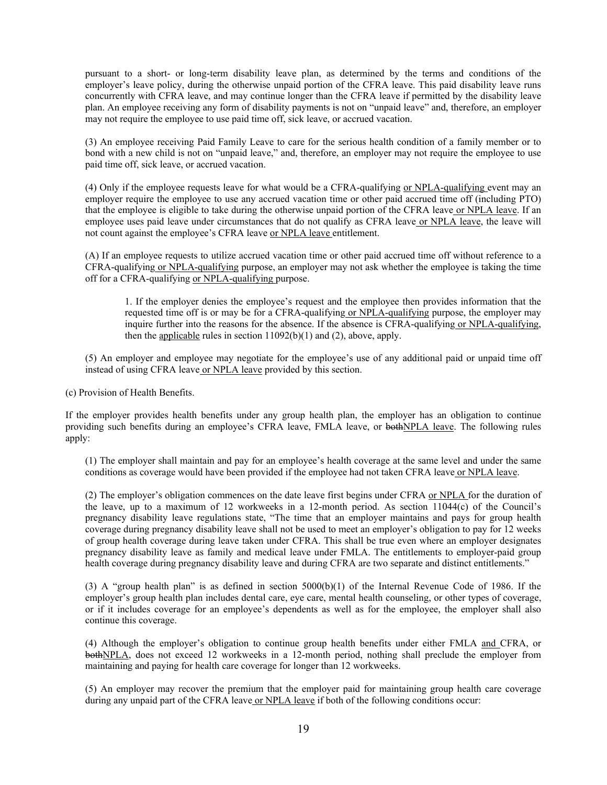pursuant to a short- or long-term disability leave plan, as determined by the terms and conditions of the employer's leave policy, during the otherwise unpaid portion of the CFRA leave. This paid disability leave runs concurrently with CFRA leave, and may continue longer than the CFRA leave if permitted by the disability leave plan. An employee receiving any form of disability payments is not on "unpaid leave" and, therefore, an employer may not require the employee to use paid time off, sick leave, or accrued vacation.

(3) An employee receiving Paid Family Leave to care for the serious health condition of a family member or to bond with a new child is not on "unpaid leave," and, therefore, an employer may not require the employee to use paid time off, sick leave, or accrued vacation.

(4) Only if the employee requests leave for what would be a CFRA-qualifying or NPLA-qualifying event may an employer require the employee to use any accrued vacation time or other paid accrued time off (including PTO) that the employee is eligible to take during the otherwise unpaid portion of the CFRA leave or NPLA leave. If an employee uses paid leave under circumstances that do not qualify as CFRA leave or NPLA leave, the leave will not count against the employee's CFRA leave or NPLA leave entitlement.

(A) If an employee requests to utilize accrued vacation time or other paid accrued time off without reference to a CFRA-qualifying or NPLA-qualifying purpose, an employer may not ask whether the employee is taking the time off for a CFRA-qualifying or NPLA-qualifying purpose.

1. If the employer denies the employee's request and the employee then provides information that the requested time off is or may be for a CFRA-qualifying or NPLA-qualifying purpose, the employer may inquire further into the reasons for the absence. If the absence is CFRA-qualifying or NPLA-qualifying, then the applicable rules in section  $11092(b)(1)$  and  $(2)$ , above, apply.

(5) An employer and employee may negotiate for the employee's use of any additional paid or unpaid time off instead of using CFRA leave or NPLA leave provided by this section.

(c) Provision of Health Benefits.

If the employer provides health benefits under any group health plan, the employer has an obligation to continue providing such benefits during an employee's CFRA leave, FMLA leave, or bothNPLA leave. The following rules apply:

(1) The employer shall maintain and pay for an employee's health coverage at the same level and under the same conditions as coverage would have been provided if the employee had not taken CFRA leave or NPLA leave.

(2) The employer's obligation commences on the date leave first begins under CFRA or NPLA for the duration of the leave, up to a maximum of 12 workweeks in a 12-month period. As section 11044(c) of the Council's pregnancy disability leave regulations state, "The time that an employer maintains and pays for group health coverage during pregnancy disability leave shall not be used to meet an employer's obligation to pay for 12 weeks of group health coverage during leave taken under CFRA. This shall be true even where an employer designates pregnancy disability leave as family and medical leave under FMLA. The entitlements to employer-paid group health coverage during pregnancy disability leave and during CFRA are two separate and distinct entitlements."

(3) A "group health plan" is as defined in section 5000(b)(1) of the Internal Revenue Code of 1986. If the employer's group health plan includes dental care, eye care, mental health counseling, or other types of coverage, or if it includes coverage for an employee's dependents as well as for the employee, the employer shall also continue this coverage.

(4) Although the employer's obligation to continue group health benefits under either FMLA and CFRA, or bothNPLA, does not exceed 12 workweeks in a 12-month period, nothing shall preclude the employer from maintaining and paying for health care coverage for longer than 12 workweeks.

(5) An employer may recover the premium that the employer paid for maintaining group health care coverage during any unpaid part of the CFRA leave or NPLA leave if both of the following conditions occur: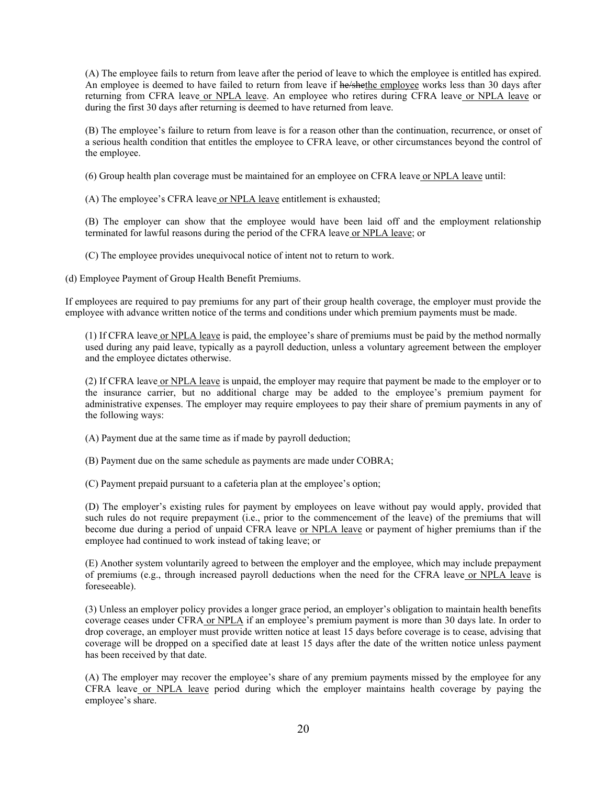(A) The employee fails to return from leave after the period of leave to which the employee is entitled has expired. An employee is deemed to have failed to return from leave if he/shethe employee works less than 30 days after returning from CFRA leave or NPLA leave. An employee who retires during CFRA leave or NPLA leave or during the first 30 days after returning is deemed to have returned from leave.

(B) The employee's failure to return from leave is for a reason other than the continuation, recurrence, or onset of a serious health condition that entitles the employee to CFRA leave, or other circumstances beyond the control of the employee.

(6) Group health plan coverage must be maintained for an employee on CFRA leave or NPLA leave until:

(A) The employee's CFRA leave or NPLA leave entitlement is exhausted;

(B) The employer can show that the employee would have been laid off and the employment relationship terminated for lawful reasons during the period of the CFRA leave or NPLA leave; or

(C) The employee provides unequivocal notice of intent not to return to work.

(d) Employee Payment of Group Health Benefit Premiums.

If employees are required to pay premiums for any part of their group health coverage, the employer must provide the employee with advance written notice of the terms and conditions under which premium payments must be made.

(1) If CFRA leave or NPLA leave is paid, the employee's share of premiums must be paid by the method normally used during any paid leave, typically as a payroll deduction, unless a voluntary agreement between the employer and the employee dictates otherwise.

(2) If CFRA leave or NPLA leave is unpaid, the employer may require that payment be made to the employer or to the insurance carrier, but no additional charge may be added to the employee's premium payment for administrative expenses. The employer may require employees to pay their share of premium payments in any of the following ways:

(A) Payment due at the same time as if made by payroll deduction;

(B) Payment due on the same schedule as payments are made under COBRA;

(C) Payment prepaid pursuant to a cafeteria plan at the employee's option;

(D) The employer's existing rules for payment by employees on leave without pay would apply, provided that such rules do not require prepayment (i.e., prior to the commencement of the leave) of the premiums that will become due during a period of unpaid CFRA leave or NPLA leave or payment of higher premiums than if the employee had continued to work instead of taking leave; or

(E) Another system voluntarily agreed to between the employer and the employee, which may include prepayment of premiums (e.g., through increased payroll deductions when the need for the CFRA leave or NPLA leave is foreseeable).

(3) Unless an employer policy provides a longer grace period, an employer's obligation to maintain health benefits coverage ceases under CFRA or NPLA if an employee's premium payment is more than 30 days late. In order to drop coverage, an employer must provide written notice at least 15 days before coverage is to cease, advising that coverage will be dropped on a specified date at least 15 days after the date of the written notice unless payment has been received by that date.

(A) The employer may recover the employee's share of any premium payments missed by the employee for any CFRA leave or NPLA leave period during which the employer maintains health coverage by paying the employee's share.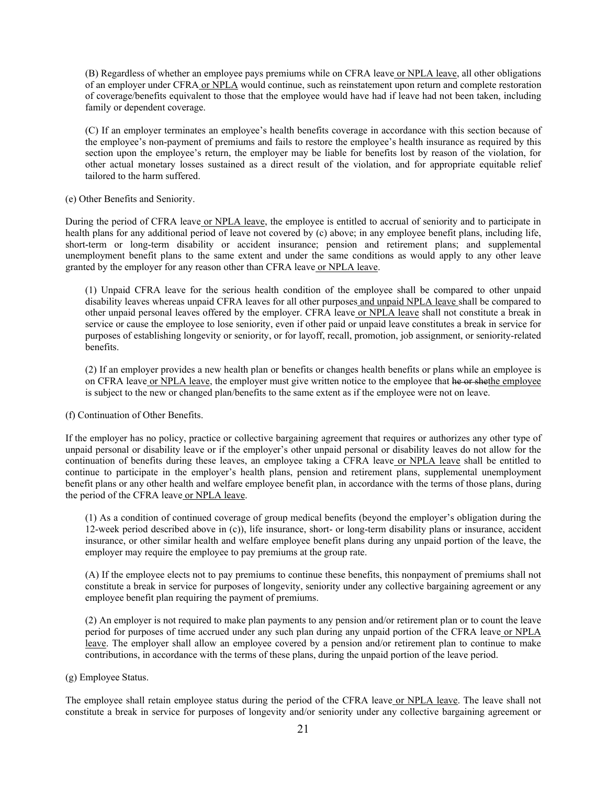(B) Regardless of whether an employee pays premiums while on CFRA leave or NPLA leave, all other obligations of an employer under CFRA or NPLA would continue, such as reinstatement upon return and complete restoration of coverage/benefits equivalent to those that the employee would have had if leave had not been taken, including family or dependent coverage.

(C) If an employer terminates an employee's health benefits coverage in accordance with this section because of the employee's non-payment of premiums and fails to restore the employee's health insurance as required by this section upon the employee's return, the employer may be liable for benefits lost by reason of the violation, for other actual monetary losses sustained as a direct result of the violation, and for appropriate equitable relief tailored to the harm suffered.

#### (e) Other Benefits and Seniority.

During the period of CFRA leave or NPLA leave, the employee is entitled to accrual of seniority and to participate in health plans for any additional period of leave not covered by (c) above; in any employee benefit plans, including life, short-term or long-term disability or accident insurance; pension and retirement plans; and supplemental unemployment benefit plans to the same extent and under the same conditions as would apply to any other leave granted by the employer for any reason other than CFRA leave or NPLA leave.

(1) Unpaid CFRA leave for the serious health condition of the employee shall be compared to other unpaid disability leaves whereas unpaid CFRA leaves for all other purposes and unpaid NPLA leave shall be compared to other unpaid personal leaves offered by the employer. CFRA leave or NPLA leave shall not constitute a break in service or cause the employee to lose seniority, even if other paid or unpaid leave constitutes a break in service for purposes of establishing longevity or seniority, or for layoff, recall, promotion, job assignment, or seniority-related benefits.

(2) If an employer provides a new health plan or benefits or changes health benefits or plans while an employee is on CFRA leave or NPLA leave, the employer must give written notice to the employee that he or shethe employee is subject to the new or changed plan/benefits to the same extent as if the employee were not on leave.

#### (f) Continuation of Other Benefits.

If the employer has no policy, practice or collective bargaining agreement that requires or authorizes any other type of unpaid personal or disability leave or if the employer's other unpaid personal or disability leaves do not allow for the continuation of benefits during these leaves, an employee taking a CFRA leave or NPLA leave shall be entitled to continue to participate in the employer's health plans, pension and retirement plans, supplemental unemployment benefit plans or any other health and welfare employee benefit plan, in accordance with the terms of those plans, during the period of the CFRA leave or NPLA leave.

(1) As a condition of continued coverage of group medical benefits (beyond the employer's obligation during the 12-week period described above in (c)), life insurance, short- or long-term disability plans or insurance, accident insurance, or other similar health and welfare employee benefit plans during any unpaid portion of the leave, the employer may require the employee to pay premiums at the group rate.

(A) If the employee elects not to pay premiums to continue these benefits, this nonpayment of premiums shall not constitute a break in service for purposes of longevity, seniority under any collective bargaining agreement or any employee benefit plan requiring the payment of premiums.

(2) An employer is not required to make plan payments to any pension and/or retirement plan or to count the leave period for purposes of time accrued under any such plan during any unpaid portion of the CFRA leave or NPLA leave. The employer shall allow an employee covered by a pension and/or retirement plan to continue to make contributions, in accordance with the terms of these plans, during the unpaid portion of the leave period.

#### (g) Employee Status.

The employee shall retain employee status during the period of the CFRA leave or NPLA leave. The leave shall not constitute a break in service for purposes of longevity and/or seniority under any collective bargaining agreement or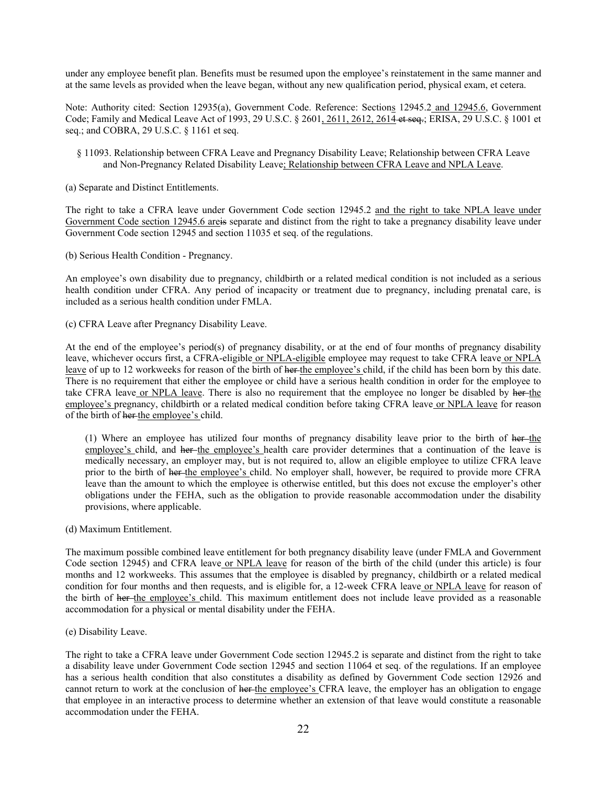under any employee benefit plan. Benefits must be resumed upon the employee's reinstatement in the same manner and at the same levels as provided when the leave began, without any new qualification period, physical exam, et cetera.

Note: Authority cited: Section 12935(a), Government Code. Reference: Sections 12945.2 and 12945.6, Government Code; Family and Medical Leave Act of 1993, 29 U.S.C. § 2601, 2611, 2612, 2614 et seq.; ERISA, 29 U.S.C. § 1001 et seq.; and COBRA, 29 U.S.C. § 1161 et seq.

- § 11093. Relationship between CFRA Leave and Pregnancy Disability Leave; Relationship between CFRA Leave and Non-Pregnancy Related Disability Leave; Relationship between CFRA Leave and NPLA Leave.
- (a) Separate and Distinct Entitlements.

The right to take a CFRA leave under Government Code section 12945.2 and the right to take NPLA leave under Government Code section 12945.6 areis separate and distinct from the right to take a pregnancy disability leave under Government Code section 12945 and section 11035 et seq. of the regulations.

(b) Serious Health Condition - Pregnancy.

An employee's own disability due to pregnancy, childbirth or a related medical condition is not included as a serious health condition under CFRA. Any period of incapacity or treatment due to pregnancy, including prenatal care, is included as a serious health condition under FMLA.

(c) CFRA Leave after Pregnancy Disability Leave.

At the end of the employee's period(s) of pregnancy disability, or at the end of four months of pregnancy disability leave, whichever occurs first, a CFRA-eligible or NPLA-eligible employee may request to take CFRA leave or NPLA leave of up to 12 workweeks for reason of the birth of her the employee's child, if the child has been born by this date. There is no requirement that either the employee or child have a serious health condition in order for the employee to take CFRA leave or NPLA leave. There is also no requirement that the employee no longer be disabled by her the employee's pregnancy, childbirth or a related medical condition before taking CFRA leave or NPLA leave for reason of the birth of her the employee's child.

(1) Where an employee has utilized four months of pregnancy disability leave prior to the birth of  $h$ er the employee's child, and her the employee's health care provider determines that a continuation of the leave is medically necessary, an employer may, but is not required to, allow an eligible employee to utilize CFRA leave prior to the birth of her-the employee's child. No employer shall, however, be required to provide more CFRA leave than the amount to which the employee is otherwise entitled, but this does not excuse the employer's other obligations under the FEHA, such as the obligation to provide reasonable accommodation under the disability provisions, where applicable.

(d) Maximum Entitlement.

The maximum possible combined leave entitlement for both pregnancy disability leave (under FMLA and Government Code section 12945) and CFRA leave or NPLA leave for reason of the birth of the child (under this article) is four months and 12 workweeks. This assumes that the employee is disabled by pregnancy, childbirth or a related medical condition for four months and then requests, and is eligible for, a 12-week CFRA leave or NPLA leave for reason of the birth of her-the employee's child. This maximum entitlement does not include leave provided as a reasonable accommodation for a physical or mental disability under the FEHA.

(e) Disability Leave.

The right to take a CFRA leave under Government Code section 12945.2 is separate and distinct from the right to take a disability leave under Government Code section 12945 and section 11064 et seq. of the regulations. If an employee has a serious health condition that also constitutes a disability as defined by Government Code section 12926 and cannot return to work at the conclusion of her-the employee's CFRA leave, the employer has an obligation to engage that employee in an interactive process to determine whether an extension of that leave would constitute a reasonable accommodation under the FEHA.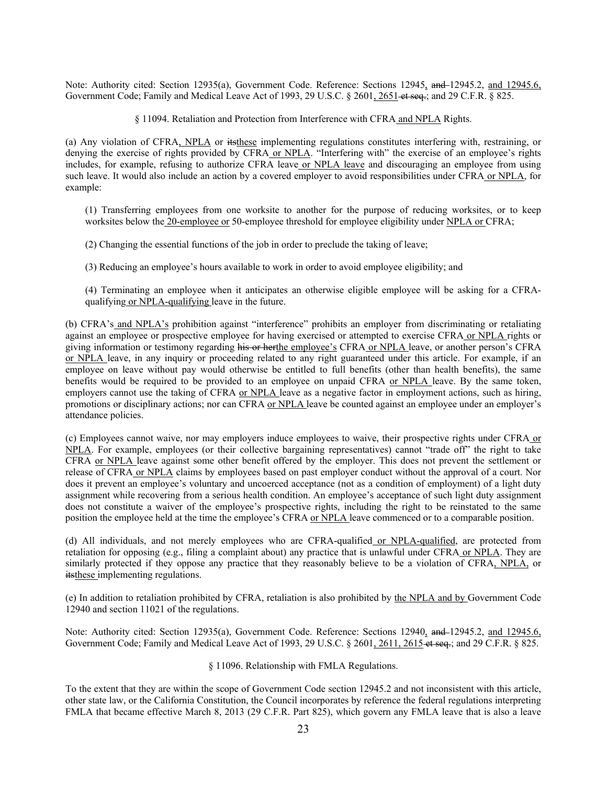Note: Authority cited: Section 12935(a), Government Code. Reference: Sections 12945, and 12945.2, and 12945.6, Government Code; Family and Medical Leave Act of 1993, 29 U.S.C. § 2601, 2651 et seq.; and 29 C.F.R. § 825.

§ 11094. Retaliation and Protection from Interference with CFRA and NPLA Rights.

(a) Any violation of CFRA, NPLA or itsthese implementing regulations constitutes interfering with, restraining, or denying the exercise of rights provided by CFRA or NPLA. "Interfering with" the exercise of an employee's rights includes, for example, refusing to authorize CFRA leave or NPLA leave and discouraging an employee from using such leave. It would also include an action by a covered employer to avoid responsibilities under CFRA or NPLA, for example:

(1) Transferring employees from one worksite to another for the purpose of reducing worksites, or to keep worksites below the 20-employee or 50-employee threshold for employee eligibility under NPLA or CFRA;

(2) Changing the essential functions of the job in order to preclude the taking of leave;

(3) Reducing an employee's hours available to work in order to avoid employee eligibility; and

(4) Terminating an employee when it anticipates an otherwise eligible employee will be asking for a CFRAqualifying or NPLA-qualifying leave in the future.

(b) CFRA's and NPLA's prohibition against "interference" prohibits an employer from discriminating or retaliating against an employee or prospective employee for having exercised or attempted to exercise CFRA or NPLA rights or giving information or testimony regarding his or herthe employee's CFRA or NPLA leave, or another person's CFRA or NPLA leave, in any inquiry or proceeding related to any right guaranteed under this article. For example, if an employee on leave without pay would otherwise be entitled to full benefits (other than health benefits), the same benefits would be required to be provided to an employee on unpaid CFRA or NPLA leave. By the same token, employers cannot use the taking of CFRA or NPLA leave as a negative factor in employment actions, such as hiring, promotions or disciplinary actions; nor can CFRA or NPLA leave be counted against an employee under an employer's attendance policies.

(c) Employees cannot waive, nor may employers induce employees to waive, their prospective rights under CFRA or NPLA. For example, employees (or their collective bargaining representatives) cannot "trade off" the right to take CFRA or NPLA leave against some other benefit offered by the employer. This does not prevent the settlement or release of CFRA or NPLA claims by employees based on past employer conduct without the approval of a court. Nor does it prevent an employee's voluntary and uncoerced acceptance (not as a condition of employment) of a light duty assignment while recovering from a serious health condition. An employee's acceptance of such light duty assignment does not constitute a waiver of the employee's prospective rights, including the right to be reinstated to the same position the employee held at the time the employee's CFRA or NPLA leave commenced or to a comparable position.

(d) All individuals, and not merely employees who are CFRA-qualified or NPLA-qualified, are protected from retaliation for opposing (e.g., filing a complaint about) any practice that is unlawful under CFRA or NPLA. They are similarly protected if they oppose any practice that they reasonably believe to be a violation of CFRA, NPLA, or its these implementing regulations.

(e) In addition to retaliation prohibited by CFRA, retaliation is also prohibited by the NPLA and by Government Code 12940 and section 11021 of the regulations.

Note: Authority cited: Section 12935(a), Government Code. Reference: Sections 12940, and 12945.2, and 12945.6, Government Code; Family and Medical Leave Act of 1993, 29 U.S.C. § 2601, 2611, 2615-et seq.; and 29 C.F.R. § 825.

### § 11096. Relationship with FMLA Regulations.

To the extent that they are within the scope of Government Code section 12945.2 and not inconsistent with this article, other state law, or the California Constitution, the Council incorporates by reference the federal regulations interpreting FMLA that became effective March 8, 2013 (29 C.F.R. Part 825), which govern any FMLA leave that is also a leave